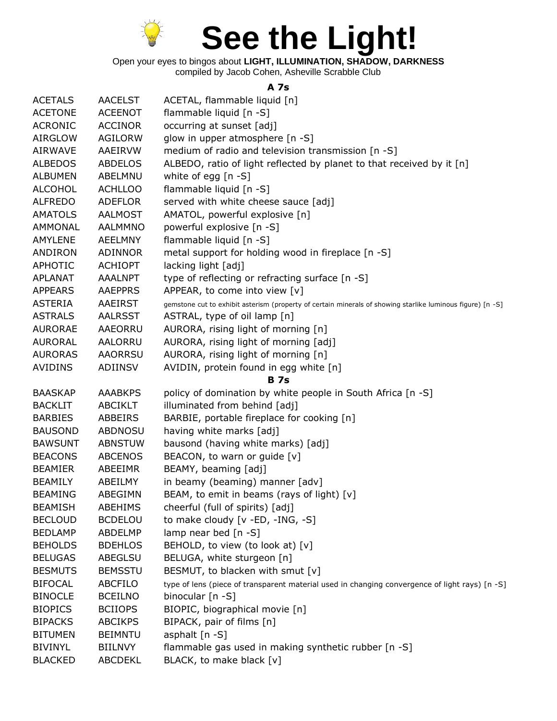

Open your eyes to bingos about **LIGHT, ILLUMINATION, SHADOW, DARKNESS** compiled by Jacob Cohen, Asheville Scrabble Club

## **A 7s**

| <b>ACETALS</b><br><b>ACETONE</b><br>flammable liquid [n -S]<br><b>ACEENOT</b><br><b>ACRONIC</b><br>occurring at sunset [adj]<br><b>ACCINOR</b><br><b>AIRGLOW</b><br><b>AGILORW</b><br>glow in upper atmosphere [n -S]<br>medium of radio and television transmission [n -S]<br><b>AIRWAVE</b><br>AAEIRVW<br>ALBEDO, ratio of light reflected by planet to that received by it [n]<br><b>ALBEDOS</b><br>ABDELOS<br>white of egg [n -S]<br><b>ALBUMEN</b><br>ABELMNU<br>flammable liquid [n -S]<br><b>ALCOHOL</b><br><b>ACHLLOO</b><br><b>ALFREDO</b><br>served with white cheese sauce [adj]<br><b>ADEFLOR</b><br>AMATOL, powerful explosive [n]<br><b>AMATOLS</b><br><b>AALMOST</b><br>powerful explosive [n -S]<br><b>AALMMNO</b><br>AMMONAL<br>flammable liquid [n -S]<br><b>AMYLENE</b><br><b>AEELMNY</b><br>metal support for holding wood in fireplace [n -S]<br>ANDIRON<br><b>ADINNOR</b><br><b>APHOTIC</b><br><b>ACHIOPT</b><br>lacking light [adj]<br>type of reflecting or refracting surface [n -S]<br>APLANAT<br><b>AAALNPT</b><br>APPEAR, to come into view [v]<br><b>APPEARS</b><br><b>AAEPPRS</b><br><b>ASTERIA</b><br>AAEIRST<br>gemstone cut to exhibit asterism (property of certain minerals of showing starlike luminous figure) [n -S]<br>ASTRAL, type of oil lamp [n]<br><b>ASTRALS</b><br><b>AALRSST</b><br>AURORA, rising light of morning [n]<br><b>AURORAE</b><br>AAEORRU<br><b>AURORAL</b><br>AALORRU<br>AURORA, rising light of morning [adj]<br>AURORA, rising light of morning [n]<br><b>AURORAS</b><br><b>AAORRSU</b><br>AVIDIN, protein found in egg white [n]<br><b>AVIDINS</b><br>ADIINSV<br><b>B</b> 7s<br>policy of domination by white people in South Africa [n -S]<br><b>BAASKAP</b><br><b>AAABKPS</b><br>illuminated from behind [adj]<br><b>ABCIKLT</b><br><b>BACKLIT</b><br>BARBIE, portable fireplace for cooking [n]<br><b>BARBIES</b><br>ABBEIRS<br>having white marks [adj]<br><b>BAUSOND</b><br>ABDNOSU<br>bausond (having white marks) [adj]<br><b>BAWSUNT</b><br><b>ABNSTUW</b><br>BEACON, to warn or guide [v]<br><b>BEACONS</b><br><b>ABCENOS</b><br>BEAMY, beaming [adj]<br><b>BEAMIER</b><br>ABEEIMR<br>in beamy (beaming) manner [adv]<br><b>BEAMILY</b><br>ABEILMY<br>BEAM, to emit in beams (rays of light) [v]<br><b>BEAMING</b><br>ABEGIMN<br>cheerful (full of spirits) [adj]<br><b>BEAMISH</b><br>ABEHIMS<br>to make cloudy [v -ED, -ING, -S]<br><b>BECLOUD</b><br><b>BCDELOU</b><br>lamp near bed [n -S]<br><b>BEDLAMP</b><br>ABDELMP<br>BEHOLD, to view (to look at) [v]<br><b>BEHOLDS</b><br><b>BDEHLOS</b><br><b>ABEGLSU</b><br>BELUGA, white sturgeon [n]<br><b>BELUGAS</b><br><b>BESMUTS</b><br>BESMUT, to blacken with smut [v]<br><b>BEMSSTU</b><br><b>BIFOCAL</b><br><b>ABCFILO</b><br>type of lens (piece of transparent material used in changing convergence of light rays) [n -S]<br>binocular $[n - S]$<br><b>BINOCLE</b><br><b>BCEILNO</b><br><b>BIOPICS</b><br>BIOPIC, biographical movie [n]<br><b>BCIIOPS</b><br>BIPACK, pair of films [n]<br><b>BIPACKS</b><br><b>ABCIKPS</b> |                |                |                              |
|-------------------------------------------------------------------------------------------------------------------------------------------------------------------------------------------------------------------------------------------------------------------------------------------------------------------------------------------------------------------------------------------------------------------------------------------------------------------------------------------------------------------------------------------------------------------------------------------------------------------------------------------------------------------------------------------------------------------------------------------------------------------------------------------------------------------------------------------------------------------------------------------------------------------------------------------------------------------------------------------------------------------------------------------------------------------------------------------------------------------------------------------------------------------------------------------------------------------------------------------------------------------------------------------------------------------------------------------------------------------------------------------------------------------------------------------------------------------------------------------------------------------------------------------------------------------------------------------------------------------------------------------------------------------------------------------------------------------------------------------------------------------------------------------------------------------------------------------------------------------------------------------------------------------------------------------------------------------------------------------------------------------------------------------------------------------------------------------------------------------------------------------------------------------------------------------------------------------------------------------------------------------------------------------------------------------------------------------------------------------------------------------------------------------------------------------------------------------------------------------------------------------------------------------------------------------------------------------------------------------------------------------------------------------------------------------------------------------------------------------------------------------------------------------------------------------------------------------------------------------------------------------------------------------------------------------------------------------------------------------------------------------------------------------------------------|----------------|----------------|------------------------------|
|                                                                                                                                                                                                                                                                                                                                                                                                                                                                                                                                                                                                                                                                                                                                                                                                                                                                                                                                                                                                                                                                                                                                                                                                                                                                                                                                                                                                                                                                                                                                                                                                                                                                                                                                                                                                                                                                                                                                                                                                                                                                                                                                                                                                                                                                                                                                                                                                                                                                                                                                                                                                                                                                                                                                                                                                                                                                                                                                                                                                                                                             |                | <b>AACELST</b> | ACETAL, flammable liquid [n] |
|                                                                                                                                                                                                                                                                                                                                                                                                                                                                                                                                                                                                                                                                                                                                                                                                                                                                                                                                                                                                                                                                                                                                                                                                                                                                                                                                                                                                                                                                                                                                                                                                                                                                                                                                                                                                                                                                                                                                                                                                                                                                                                                                                                                                                                                                                                                                                                                                                                                                                                                                                                                                                                                                                                                                                                                                                                                                                                                                                                                                                                                             |                |                |                              |
|                                                                                                                                                                                                                                                                                                                                                                                                                                                                                                                                                                                                                                                                                                                                                                                                                                                                                                                                                                                                                                                                                                                                                                                                                                                                                                                                                                                                                                                                                                                                                                                                                                                                                                                                                                                                                                                                                                                                                                                                                                                                                                                                                                                                                                                                                                                                                                                                                                                                                                                                                                                                                                                                                                                                                                                                                                                                                                                                                                                                                                                             |                |                |                              |
|                                                                                                                                                                                                                                                                                                                                                                                                                                                                                                                                                                                                                                                                                                                                                                                                                                                                                                                                                                                                                                                                                                                                                                                                                                                                                                                                                                                                                                                                                                                                                                                                                                                                                                                                                                                                                                                                                                                                                                                                                                                                                                                                                                                                                                                                                                                                                                                                                                                                                                                                                                                                                                                                                                                                                                                                                                                                                                                                                                                                                                                             |                |                |                              |
|                                                                                                                                                                                                                                                                                                                                                                                                                                                                                                                                                                                                                                                                                                                                                                                                                                                                                                                                                                                                                                                                                                                                                                                                                                                                                                                                                                                                                                                                                                                                                                                                                                                                                                                                                                                                                                                                                                                                                                                                                                                                                                                                                                                                                                                                                                                                                                                                                                                                                                                                                                                                                                                                                                                                                                                                                                                                                                                                                                                                                                                             |                |                |                              |
|                                                                                                                                                                                                                                                                                                                                                                                                                                                                                                                                                                                                                                                                                                                                                                                                                                                                                                                                                                                                                                                                                                                                                                                                                                                                                                                                                                                                                                                                                                                                                                                                                                                                                                                                                                                                                                                                                                                                                                                                                                                                                                                                                                                                                                                                                                                                                                                                                                                                                                                                                                                                                                                                                                                                                                                                                                                                                                                                                                                                                                                             |                |                |                              |
|                                                                                                                                                                                                                                                                                                                                                                                                                                                                                                                                                                                                                                                                                                                                                                                                                                                                                                                                                                                                                                                                                                                                                                                                                                                                                                                                                                                                                                                                                                                                                                                                                                                                                                                                                                                                                                                                                                                                                                                                                                                                                                                                                                                                                                                                                                                                                                                                                                                                                                                                                                                                                                                                                                                                                                                                                                                                                                                                                                                                                                                             |                |                |                              |
|                                                                                                                                                                                                                                                                                                                                                                                                                                                                                                                                                                                                                                                                                                                                                                                                                                                                                                                                                                                                                                                                                                                                                                                                                                                                                                                                                                                                                                                                                                                                                                                                                                                                                                                                                                                                                                                                                                                                                                                                                                                                                                                                                                                                                                                                                                                                                                                                                                                                                                                                                                                                                                                                                                                                                                                                                                                                                                                                                                                                                                                             |                |                |                              |
|                                                                                                                                                                                                                                                                                                                                                                                                                                                                                                                                                                                                                                                                                                                                                                                                                                                                                                                                                                                                                                                                                                                                                                                                                                                                                                                                                                                                                                                                                                                                                                                                                                                                                                                                                                                                                                                                                                                                                                                                                                                                                                                                                                                                                                                                                                                                                                                                                                                                                                                                                                                                                                                                                                                                                                                                                                                                                                                                                                                                                                                             |                |                |                              |
|                                                                                                                                                                                                                                                                                                                                                                                                                                                                                                                                                                                                                                                                                                                                                                                                                                                                                                                                                                                                                                                                                                                                                                                                                                                                                                                                                                                                                                                                                                                                                                                                                                                                                                                                                                                                                                                                                                                                                                                                                                                                                                                                                                                                                                                                                                                                                                                                                                                                                                                                                                                                                                                                                                                                                                                                                                                                                                                                                                                                                                                             |                |                |                              |
|                                                                                                                                                                                                                                                                                                                                                                                                                                                                                                                                                                                                                                                                                                                                                                                                                                                                                                                                                                                                                                                                                                                                                                                                                                                                                                                                                                                                                                                                                                                                                                                                                                                                                                                                                                                                                                                                                                                                                                                                                                                                                                                                                                                                                                                                                                                                                                                                                                                                                                                                                                                                                                                                                                                                                                                                                                                                                                                                                                                                                                                             |                |                |                              |
|                                                                                                                                                                                                                                                                                                                                                                                                                                                                                                                                                                                                                                                                                                                                                                                                                                                                                                                                                                                                                                                                                                                                                                                                                                                                                                                                                                                                                                                                                                                                                                                                                                                                                                                                                                                                                                                                                                                                                                                                                                                                                                                                                                                                                                                                                                                                                                                                                                                                                                                                                                                                                                                                                                                                                                                                                                                                                                                                                                                                                                                             |                |                |                              |
|                                                                                                                                                                                                                                                                                                                                                                                                                                                                                                                                                                                                                                                                                                                                                                                                                                                                                                                                                                                                                                                                                                                                                                                                                                                                                                                                                                                                                                                                                                                                                                                                                                                                                                                                                                                                                                                                                                                                                                                                                                                                                                                                                                                                                                                                                                                                                                                                                                                                                                                                                                                                                                                                                                                                                                                                                                                                                                                                                                                                                                                             |                |                |                              |
|                                                                                                                                                                                                                                                                                                                                                                                                                                                                                                                                                                                                                                                                                                                                                                                                                                                                                                                                                                                                                                                                                                                                                                                                                                                                                                                                                                                                                                                                                                                                                                                                                                                                                                                                                                                                                                                                                                                                                                                                                                                                                                                                                                                                                                                                                                                                                                                                                                                                                                                                                                                                                                                                                                                                                                                                                                                                                                                                                                                                                                                             |                |                |                              |
|                                                                                                                                                                                                                                                                                                                                                                                                                                                                                                                                                                                                                                                                                                                                                                                                                                                                                                                                                                                                                                                                                                                                                                                                                                                                                                                                                                                                                                                                                                                                                                                                                                                                                                                                                                                                                                                                                                                                                                                                                                                                                                                                                                                                                                                                                                                                                                                                                                                                                                                                                                                                                                                                                                                                                                                                                                                                                                                                                                                                                                                             |                |                |                              |
|                                                                                                                                                                                                                                                                                                                                                                                                                                                                                                                                                                                                                                                                                                                                                                                                                                                                                                                                                                                                                                                                                                                                                                                                                                                                                                                                                                                                                                                                                                                                                                                                                                                                                                                                                                                                                                                                                                                                                                                                                                                                                                                                                                                                                                                                                                                                                                                                                                                                                                                                                                                                                                                                                                                                                                                                                                                                                                                                                                                                                                                             |                |                |                              |
|                                                                                                                                                                                                                                                                                                                                                                                                                                                                                                                                                                                                                                                                                                                                                                                                                                                                                                                                                                                                                                                                                                                                                                                                                                                                                                                                                                                                                                                                                                                                                                                                                                                                                                                                                                                                                                                                                                                                                                                                                                                                                                                                                                                                                                                                                                                                                                                                                                                                                                                                                                                                                                                                                                                                                                                                                                                                                                                                                                                                                                                             |                |                |                              |
|                                                                                                                                                                                                                                                                                                                                                                                                                                                                                                                                                                                                                                                                                                                                                                                                                                                                                                                                                                                                                                                                                                                                                                                                                                                                                                                                                                                                                                                                                                                                                                                                                                                                                                                                                                                                                                                                                                                                                                                                                                                                                                                                                                                                                                                                                                                                                                                                                                                                                                                                                                                                                                                                                                                                                                                                                                                                                                                                                                                                                                                             |                |                |                              |
|                                                                                                                                                                                                                                                                                                                                                                                                                                                                                                                                                                                                                                                                                                                                                                                                                                                                                                                                                                                                                                                                                                                                                                                                                                                                                                                                                                                                                                                                                                                                                                                                                                                                                                                                                                                                                                                                                                                                                                                                                                                                                                                                                                                                                                                                                                                                                                                                                                                                                                                                                                                                                                                                                                                                                                                                                                                                                                                                                                                                                                                             |                |                |                              |
|                                                                                                                                                                                                                                                                                                                                                                                                                                                                                                                                                                                                                                                                                                                                                                                                                                                                                                                                                                                                                                                                                                                                                                                                                                                                                                                                                                                                                                                                                                                                                                                                                                                                                                                                                                                                                                                                                                                                                                                                                                                                                                                                                                                                                                                                                                                                                                                                                                                                                                                                                                                                                                                                                                                                                                                                                                                                                                                                                                                                                                                             |                |                |                              |
|                                                                                                                                                                                                                                                                                                                                                                                                                                                                                                                                                                                                                                                                                                                                                                                                                                                                                                                                                                                                                                                                                                                                                                                                                                                                                                                                                                                                                                                                                                                                                                                                                                                                                                                                                                                                                                                                                                                                                                                                                                                                                                                                                                                                                                                                                                                                                                                                                                                                                                                                                                                                                                                                                                                                                                                                                                                                                                                                                                                                                                                             |                |                |                              |
|                                                                                                                                                                                                                                                                                                                                                                                                                                                                                                                                                                                                                                                                                                                                                                                                                                                                                                                                                                                                                                                                                                                                                                                                                                                                                                                                                                                                                                                                                                                                                                                                                                                                                                                                                                                                                                                                                                                                                                                                                                                                                                                                                                                                                                                                                                                                                                                                                                                                                                                                                                                                                                                                                                                                                                                                                                                                                                                                                                                                                                                             |                |                |                              |
|                                                                                                                                                                                                                                                                                                                                                                                                                                                                                                                                                                                                                                                                                                                                                                                                                                                                                                                                                                                                                                                                                                                                                                                                                                                                                                                                                                                                                                                                                                                                                                                                                                                                                                                                                                                                                                                                                                                                                                                                                                                                                                                                                                                                                                                                                                                                                                                                                                                                                                                                                                                                                                                                                                                                                                                                                                                                                                                                                                                                                                                             |                |                |                              |
|                                                                                                                                                                                                                                                                                                                                                                                                                                                                                                                                                                                                                                                                                                                                                                                                                                                                                                                                                                                                                                                                                                                                                                                                                                                                                                                                                                                                                                                                                                                                                                                                                                                                                                                                                                                                                                                                                                                                                                                                                                                                                                                                                                                                                                                                                                                                                                                                                                                                                                                                                                                                                                                                                                                                                                                                                                                                                                                                                                                                                                                             |                |                |                              |
|                                                                                                                                                                                                                                                                                                                                                                                                                                                                                                                                                                                                                                                                                                                                                                                                                                                                                                                                                                                                                                                                                                                                                                                                                                                                                                                                                                                                                                                                                                                                                                                                                                                                                                                                                                                                                                                                                                                                                                                                                                                                                                                                                                                                                                                                                                                                                                                                                                                                                                                                                                                                                                                                                                                                                                                                                                                                                                                                                                                                                                                             |                |                |                              |
|                                                                                                                                                                                                                                                                                                                                                                                                                                                                                                                                                                                                                                                                                                                                                                                                                                                                                                                                                                                                                                                                                                                                                                                                                                                                                                                                                                                                                                                                                                                                                                                                                                                                                                                                                                                                                                                                                                                                                                                                                                                                                                                                                                                                                                                                                                                                                                                                                                                                                                                                                                                                                                                                                                                                                                                                                                                                                                                                                                                                                                                             |                |                |                              |
|                                                                                                                                                                                                                                                                                                                                                                                                                                                                                                                                                                                                                                                                                                                                                                                                                                                                                                                                                                                                                                                                                                                                                                                                                                                                                                                                                                                                                                                                                                                                                                                                                                                                                                                                                                                                                                                                                                                                                                                                                                                                                                                                                                                                                                                                                                                                                                                                                                                                                                                                                                                                                                                                                                                                                                                                                                                                                                                                                                                                                                                             |                |                |                              |
|                                                                                                                                                                                                                                                                                                                                                                                                                                                                                                                                                                                                                                                                                                                                                                                                                                                                                                                                                                                                                                                                                                                                                                                                                                                                                                                                                                                                                                                                                                                                                                                                                                                                                                                                                                                                                                                                                                                                                                                                                                                                                                                                                                                                                                                                                                                                                                                                                                                                                                                                                                                                                                                                                                                                                                                                                                                                                                                                                                                                                                                             |                |                |                              |
|                                                                                                                                                                                                                                                                                                                                                                                                                                                                                                                                                                                                                                                                                                                                                                                                                                                                                                                                                                                                                                                                                                                                                                                                                                                                                                                                                                                                                                                                                                                                                                                                                                                                                                                                                                                                                                                                                                                                                                                                                                                                                                                                                                                                                                                                                                                                                                                                                                                                                                                                                                                                                                                                                                                                                                                                                                                                                                                                                                                                                                                             |                |                |                              |
|                                                                                                                                                                                                                                                                                                                                                                                                                                                                                                                                                                                                                                                                                                                                                                                                                                                                                                                                                                                                                                                                                                                                                                                                                                                                                                                                                                                                                                                                                                                                                                                                                                                                                                                                                                                                                                                                                                                                                                                                                                                                                                                                                                                                                                                                                                                                                                                                                                                                                                                                                                                                                                                                                                                                                                                                                                                                                                                                                                                                                                                             |                |                |                              |
|                                                                                                                                                                                                                                                                                                                                                                                                                                                                                                                                                                                                                                                                                                                                                                                                                                                                                                                                                                                                                                                                                                                                                                                                                                                                                                                                                                                                                                                                                                                                                                                                                                                                                                                                                                                                                                                                                                                                                                                                                                                                                                                                                                                                                                                                                                                                                                                                                                                                                                                                                                                                                                                                                                                                                                                                                                                                                                                                                                                                                                                             |                |                |                              |
|                                                                                                                                                                                                                                                                                                                                                                                                                                                                                                                                                                                                                                                                                                                                                                                                                                                                                                                                                                                                                                                                                                                                                                                                                                                                                                                                                                                                                                                                                                                                                                                                                                                                                                                                                                                                                                                                                                                                                                                                                                                                                                                                                                                                                                                                                                                                                                                                                                                                                                                                                                                                                                                                                                                                                                                                                                                                                                                                                                                                                                                             |                |                |                              |
|                                                                                                                                                                                                                                                                                                                                                                                                                                                                                                                                                                                                                                                                                                                                                                                                                                                                                                                                                                                                                                                                                                                                                                                                                                                                                                                                                                                                                                                                                                                                                                                                                                                                                                                                                                                                                                                                                                                                                                                                                                                                                                                                                                                                                                                                                                                                                                                                                                                                                                                                                                                                                                                                                                                                                                                                                                                                                                                                                                                                                                                             |                |                |                              |
|                                                                                                                                                                                                                                                                                                                                                                                                                                                                                                                                                                                                                                                                                                                                                                                                                                                                                                                                                                                                                                                                                                                                                                                                                                                                                                                                                                                                                                                                                                                                                                                                                                                                                                                                                                                                                                                                                                                                                                                                                                                                                                                                                                                                                                                                                                                                                                                                                                                                                                                                                                                                                                                                                                                                                                                                                                                                                                                                                                                                                                                             |                |                |                              |
|                                                                                                                                                                                                                                                                                                                                                                                                                                                                                                                                                                                                                                                                                                                                                                                                                                                                                                                                                                                                                                                                                                                                                                                                                                                                                                                                                                                                                                                                                                                                                                                                                                                                                                                                                                                                                                                                                                                                                                                                                                                                                                                                                                                                                                                                                                                                                                                                                                                                                                                                                                                                                                                                                                                                                                                                                                                                                                                                                                                                                                                             |                |                |                              |
|                                                                                                                                                                                                                                                                                                                                                                                                                                                                                                                                                                                                                                                                                                                                                                                                                                                                                                                                                                                                                                                                                                                                                                                                                                                                                                                                                                                                                                                                                                                                                                                                                                                                                                                                                                                                                                                                                                                                                                                                                                                                                                                                                                                                                                                                                                                                                                                                                                                                                                                                                                                                                                                                                                                                                                                                                                                                                                                                                                                                                                                             |                |                |                              |
|                                                                                                                                                                                                                                                                                                                                                                                                                                                                                                                                                                                                                                                                                                                                                                                                                                                                                                                                                                                                                                                                                                                                                                                                                                                                                                                                                                                                                                                                                                                                                                                                                                                                                                                                                                                                                                                                                                                                                                                                                                                                                                                                                                                                                                                                                                                                                                                                                                                                                                                                                                                                                                                                                                                                                                                                                                                                                                                                                                                                                                                             |                |                |                              |
|                                                                                                                                                                                                                                                                                                                                                                                                                                                                                                                                                                                                                                                                                                                                                                                                                                                                                                                                                                                                                                                                                                                                                                                                                                                                                                                                                                                                                                                                                                                                                                                                                                                                                                                                                                                                                                                                                                                                                                                                                                                                                                                                                                                                                                                                                                                                                                                                                                                                                                                                                                                                                                                                                                                                                                                                                                                                                                                                                                                                                                                             |                |                |                              |
|                                                                                                                                                                                                                                                                                                                                                                                                                                                                                                                                                                                                                                                                                                                                                                                                                                                                                                                                                                                                                                                                                                                                                                                                                                                                                                                                                                                                                                                                                                                                                                                                                                                                                                                                                                                                                                                                                                                                                                                                                                                                                                                                                                                                                                                                                                                                                                                                                                                                                                                                                                                                                                                                                                                                                                                                                                                                                                                                                                                                                                                             |                |                |                              |
|                                                                                                                                                                                                                                                                                                                                                                                                                                                                                                                                                                                                                                                                                                                                                                                                                                                                                                                                                                                                                                                                                                                                                                                                                                                                                                                                                                                                                                                                                                                                                                                                                                                                                                                                                                                                                                                                                                                                                                                                                                                                                                                                                                                                                                                                                                                                                                                                                                                                                                                                                                                                                                                                                                                                                                                                                                                                                                                                                                                                                                                             |                |                |                              |
|                                                                                                                                                                                                                                                                                                                                                                                                                                                                                                                                                                                                                                                                                                                                                                                                                                                                                                                                                                                                                                                                                                                                                                                                                                                                                                                                                                                                                                                                                                                                                                                                                                                                                                                                                                                                                                                                                                                                                                                                                                                                                                                                                                                                                                                                                                                                                                                                                                                                                                                                                                                                                                                                                                                                                                                                                                                                                                                                                                                                                                                             |                |                |                              |
|                                                                                                                                                                                                                                                                                                                                                                                                                                                                                                                                                                                                                                                                                                                                                                                                                                                                                                                                                                                                                                                                                                                                                                                                                                                                                                                                                                                                                                                                                                                                                                                                                                                                                                                                                                                                                                                                                                                                                                                                                                                                                                                                                                                                                                                                                                                                                                                                                                                                                                                                                                                                                                                                                                                                                                                                                                                                                                                                                                                                                                                             |                |                |                              |
|                                                                                                                                                                                                                                                                                                                                                                                                                                                                                                                                                                                                                                                                                                                                                                                                                                                                                                                                                                                                                                                                                                                                                                                                                                                                                                                                                                                                                                                                                                                                                                                                                                                                                                                                                                                                                                                                                                                                                                                                                                                                                                                                                                                                                                                                                                                                                                                                                                                                                                                                                                                                                                                                                                                                                                                                                                                                                                                                                                                                                                                             | <b>BITUMEN</b> | <b>BEIMNTU</b> | asphalt [n -S]               |
| <b>BIVINYL</b><br>flammable gas used in making synthetic rubber [n -S]<br><b>BIILNVY</b>                                                                                                                                                                                                                                                                                                                                                                                                                                                                                                                                                                                                                                                                                                                                                                                                                                                                                                                                                                                                                                                                                                                                                                                                                                                                                                                                                                                                                                                                                                                                                                                                                                                                                                                                                                                                                                                                                                                                                                                                                                                                                                                                                                                                                                                                                                                                                                                                                                                                                                                                                                                                                                                                                                                                                                                                                                                                                                                                                                    |                |                |                              |
| BLACK, to make black [v]<br><b>BLACKED</b><br>ABCDEKL                                                                                                                                                                                                                                                                                                                                                                                                                                                                                                                                                                                                                                                                                                                                                                                                                                                                                                                                                                                                                                                                                                                                                                                                                                                                                                                                                                                                                                                                                                                                                                                                                                                                                                                                                                                                                                                                                                                                                                                                                                                                                                                                                                                                                                                                                                                                                                                                                                                                                                                                                                                                                                                                                                                                                                                                                                                                                                                                                                                                       |                |                |                              |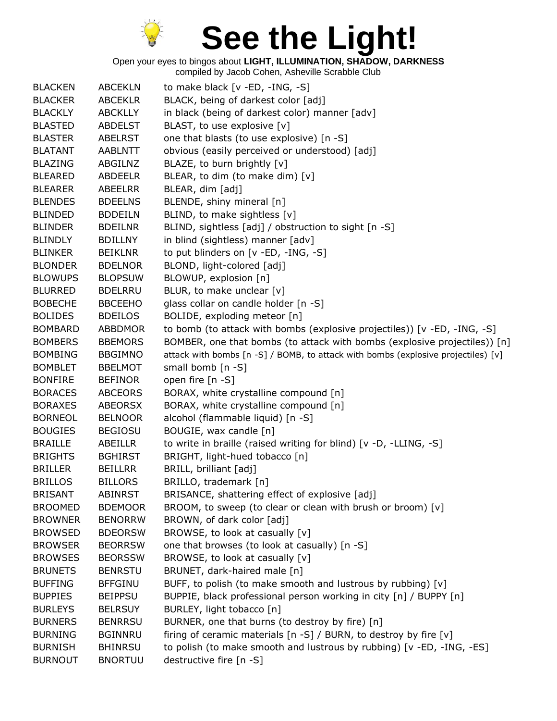

Open your eyes to bingos about **LIGHT, ILLUMINATION, SHADOW, DARKNESS**

| <b>BLACKEN</b> | <b>ABCEKLN</b> | to make black $[v - ED, -ING, -S]$                                                |
|----------------|----------------|-----------------------------------------------------------------------------------|
| <b>BLACKER</b> | <b>ABCEKLR</b> | BLACK, being of darkest color [adj]                                               |
| <b>BLACKLY</b> | <b>ABCKLLY</b> | in black (being of darkest color) manner [adv]                                    |
| <b>BLASTED</b> | <b>ABDELST</b> | BLAST, to use explosive [v]                                                       |
| <b>BLASTER</b> | <b>ABELRST</b> | one that blasts (to use explosive) [n -S]                                         |
| <b>BLATANT</b> | <b>AABLNTT</b> | obvious (easily perceived or understood) [adj]                                    |
| <b>BLAZING</b> | ABGILNZ        | BLAZE, to burn brightly [v]                                                       |
| <b>BLEARED</b> | <b>ABDEELR</b> | BLEAR, to dim (to make dim) [v]                                                   |
| <b>BLEARER</b> | ABEELRR        | BLEAR, dim [adj]                                                                  |
| <b>BLENDES</b> | <b>BDEELNS</b> | BLENDE, shiny mineral [n]                                                         |
| <b>BLINDED</b> | <b>BDDEILN</b> | BLIND, to make sightless [v]                                                      |
| <b>BLINDER</b> | <b>BDEILNR</b> | BLIND, sightless [adj] / obstruction to sight [n -S]                              |
| <b>BLINDLY</b> | <b>BDILLNY</b> | in blind (sightless) manner [adv]                                                 |
| <b>BLINKER</b> | <b>BEIKLNR</b> | to put blinders on [v -ED, -ING, -S]                                              |
| <b>BLONDER</b> | <b>BDELNOR</b> | BLOND, light-colored [adj]                                                        |
| <b>BLOWUPS</b> | <b>BLOPSUW</b> | BLOWUP, explosion [n]                                                             |
| <b>BLURRED</b> | <b>BDELRRU</b> | BLUR, to make unclear [v]                                                         |
| <b>BOBECHE</b> | <b>BBCEEHO</b> | glass collar on candle holder [n -S]                                              |
| <b>BOLIDES</b> | <b>BDEILOS</b> | BOLIDE, exploding meteor [n]                                                      |
| <b>BOMBARD</b> | <b>ABBDMOR</b> | to bomb (to attack with bombs (explosive projectiles)) [v -ED, -ING, -S]          |
| <b>BOMBERS</b> | <b>BBEMORS</b> | BOMBER, one that bombs (to attack with bombs (explosive projectiles)) [n]         |
| <b>BOMBING</b> | <b>BBGIMNO</b> | attack with bombs [n -S] / BOMB, to attack with bombs (explosive projectiles) [v] |
| <b>BOMBLET</b> | <b>BBELMOT</b> | small bomb [n -S]                                                                 |
| <b>BONFIRE</b> | <b>BEFINOR</b> | open fire [n -S]                                                                  |
| <b>BORACES</b> | <b>ABCEORS</b> | BORAX, white crystalline compound [n]                                             |
| <b>BORAXES</b> | <b>ABEORSX</b> | BORAX, white crystalline compound [n]                                             |
| <b>BORNEOL</b> | <b>BELNOOR</b> | alcohol (flammable liquid) [n -S]                                                 |
| <b>BOUGIES</b> | <b>BEGIOSU</b> | BOUGIE, wax candle [n]                                                            |
| <b>BRAILLE</b> | ABEILLR        | to write in braille (raised writing for blind) [v -D, -LLING, -S]                 |
| <b>BRIGHTS</b> | <b>BGHIRST</b> | BRIGHT, light-hued tobacco [n]                                                    |
| <b>BRILLER</b> | <b>BEILLRR</b> | BRILL, brilliant [adj]                                                            |
| <b>BRILLOS</b> | <b>BILLORS</b> | BRILLO, trademark [n]                                                             |
| <b>BRISANT</b> | <b>ABINRST</b> | BRISANCE, shattering effect of explosive [adj]                                    |
| <b>BROOMED</b> | <b>BDEMOOR</b> | BROOM, to sweep (to clear or clean with brush or broom) [v]                       |
| <b>BROWNER</b> | <b>BENORRW</b> | BROWN, of dark color [adj]                                                        |
| <b>BROWSED</b> | <b>BDEORSW</b> | BROWSE, to look at casually [v]                                                   |
| <b>BROWSER</b> | <b>BEORRSW</b> | one that browses (to look at casually) [n -S]                                     |
| <b>BROWSES</b> | <b>BEORSSW</b> | BROWSE, to look at casually [v]                                                   |
| <b>BRUNETS</b> | <b>BENRSTU</b> | BRUNET, dark-haired male [n]                                                      |
| <b>BUFFING</b> | <b>BFFGINU</b> | BUFF, to polish (to make smooth and lustrous by rubbing) [v]                      |
| <b>BUPPIES</b> | <b>BEIPPSU</b> | BUPPIE, black professional person working in city [n] / BUPPY [n]                 |
| <b>BURLEYS</b> | <b>BELRSUY</b> | BURLEY, light tobacco [n]                                                         |
| <b>BURNERS</b> | <b>BENRRSU</b> | BURNER, one that burns (to destroy by fire) [n]                                   |
| <b>BURNING</b> | <b>BGINNRU</b> | firing of ceramic materials [n -S] / BURN, to destroy by fire [v]                 |
| <b>BURNISH</b> | <b>BHINRSU</b> | to polish (to make smooth and lustrous by rubbing) [v -ED, -ING, -ES]             |
| <b>BURNOUT</b> | <b>BNORTUU</b> | destructive fire [n -S]                                                           |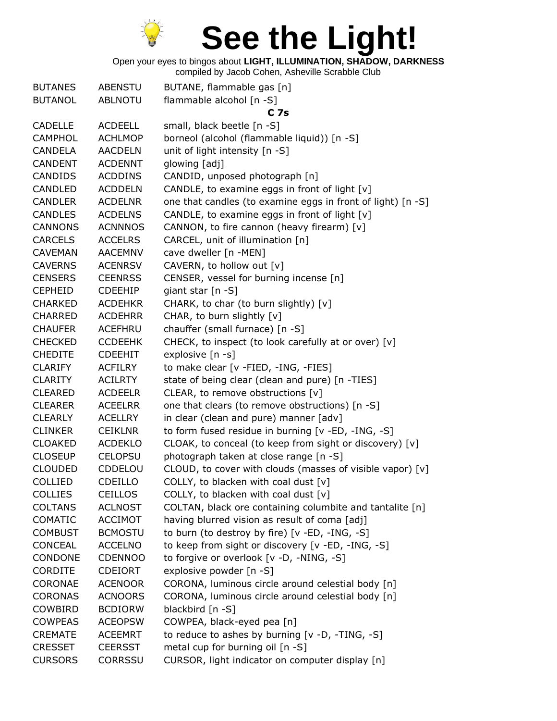

Open your eyes to bingos about **LIGHT, ILLUMINATION, SHADOW, DARKNESS**

| <b>BUTANES</b> | <b>ABENSTU</b> | BUTANE, flammable gas [n]                                   |
|----------------|----------------|-------------------------------------------------------------|
| <b>BUTANOL</b> | <b>ABLNOTU</b> | flammable alcohol [n -S]                                    |
|                |                | C <sub>7s</sub>                                             |
| <b>CADELLE</b> | <b>ACDEELL</b> | small, black beetle [n -S]                                  |
| <b>CAMPHOL</b> | <b>ACHLMOP</b> | borneol (alcohol (flammable liquid)) [n -S]                 |
| CANDELA        | <b>AACDELN</b> | unit of light intensity [n -S]                              |
| <b>CANDENT</b> | <b>ACDENNT</b> | glowing [adj]                                               |
| <b>CANDIDS</b> | <b>ACDDINS</b> | CANDID, unposed photograph [n]                              |
| <b>CANDLED</b> | <b>ACDDELN</b> | CANDLE, to examine eggs in front of light [v]               |
| <b>CANDLER</b> | <b>ACDELNR</b> | one that candles (to examine eggs in front of light) [n -S] |
| <b>CANDLES</b> | <b>ACDELNS</b> | CANDLE, to examine eggs in front of light [v]               |
| <b>CANNONS</b> | <b>ACNNNOS</b> | CANNON, to fire cannon (heavy firearm) [v]                  |
| <b>CARCELS</b> | <b>ACCELRS</b> | CARCEL, unit of illumination [n]                            |
| <b>CAVEMAN</b> | <b>AACEMNV</b> | cave dweller [n -MEN]                                       |
| <b>CAVERNS</b> | <b>ACENRSV</b> | CAVERN, to hollow out [v]                                   |
| <b>CENSERS</b> | <b>CEENRSS</b> | CENSER, vessel for burning incense [n]                      |
| <b>CEPHEID</b> | <b>CDEEHIP</b> | giant star $[n -S]$                                         |
| <b>CHARKED</b> | <b>ACDEHKR</b> | CHARK, to char (to burn slightly) [v]                       |
| <b>CHARRED</b> | <b>ACDEHRR</b> | CHAR, to burn slightly [v]                                  |
| <b>CHAUFER</b> | ACEFHRU        | chauffer (small furnace) [n -S]                             |
| <b>CHECKED</b> | <b>CCDEEHK</b> | CHECK, to inspect (to look carefully at or over) [v]        |
| <b>CHEDITE</b> | <b>CDEEHIT</b> | explosive [n -s]                                            |
| <b>CLARIFY</b> | <b>ACFILRY</b> | to make clear [v -FIED, -ING, -FIES]                        |
| <b>CLARITY</b> | <b>ACILRTY</b> | state of being clear (clean and pure) [n -TIES]             |
| <b>CLEARED</b> | <b>ACDEELR</b> | CLEAR, to remove obstructions [v]                           |
| <b>CLEARER</b> | <b>ACEELRR</b> | one that clears (to remove obstructions) [n -S]             |
| <b>CLEARLY</b> | <b>ACELLRY</b> | in clear (clean and pure) manner [adv]                      |
| <b>CLINKER</b> | <b>CEIKLNR</b> | to form fused residue in burning [v -ED, -ING, -S]          |
| <b>CLOAKED</b> | <b>ACDEKLO</b> | CLOAK, to conceal (to keep from sight or discovery) [v]     |
| <b>CLOSEUP</b> | <b>CELOPSU</b> | photograph taken at close range [n -S]                      |
| <b>CLOUDED</b> | CDDELOU        | CLOUD, to cover with clouds (masses of visible vapor) [v]   |
| <b>COLLIED</b> | <b>CDEILLO</b> | COLLY, to blacken with coal dust $[v]$                      |
| <b>COLLIES</b> | <b>CEILLOS</b> | COLLY, to blacken with coal dust [v]                        |
| <b>COLTANS</b> | <b>ACLNOST</b> | COLTAN, black ore containing columbite and tantalite [n]    |
| <b>COMATIC</b> | <b>ACCIMOT</b> | having blurred vision as result of coma [adj]               |
| <b>COMBUST</b> | <b>BCMOSTU</b> | to burn (to destroy by fire) [v -ED, -ING, -S]              |
| <b>CONCEAL</b> | <b>ACCELNO</b> | to keep from sight or discovery [v -ED, -ING, -S]           |
| CONDONE        | <b>CDENNOO</b> | to forgive or overlook [v -D, -NING, -S]                    |
| <b>CORDITE</b> | <b>CDEIORT</b> | explosive powder [n -S]                                     |
| <b>CORONAE</b> | <b>ACENOOR</b> | CORONA, luminous circle around celestial body [n]           |
| <b>CORONAS</b> | <b>ACNOORS</b> | CORONA, luminous circle around celestial body [n]           |
| COWBIRD        | <b>BCDIORW</b> | blackbird [n -S]                                            |
| <b>COWPEAS</b> | <b>ACEOPSW</b> | COWPEA, black-eyed pea [n]                                  |
| <b>CREMATE</b> | <b>ACEEMRT</b> | to reduce to ashes by burning [v -D, -TING, -S]             |
| <b>CRESSET</b> | <b>CEERSST</b> | metal cup for burning oil [n -S]                            |
| <b>CURSORS</b> | <b>CORRSSU</b> | CURSOR, light indicator on computer display [n]             |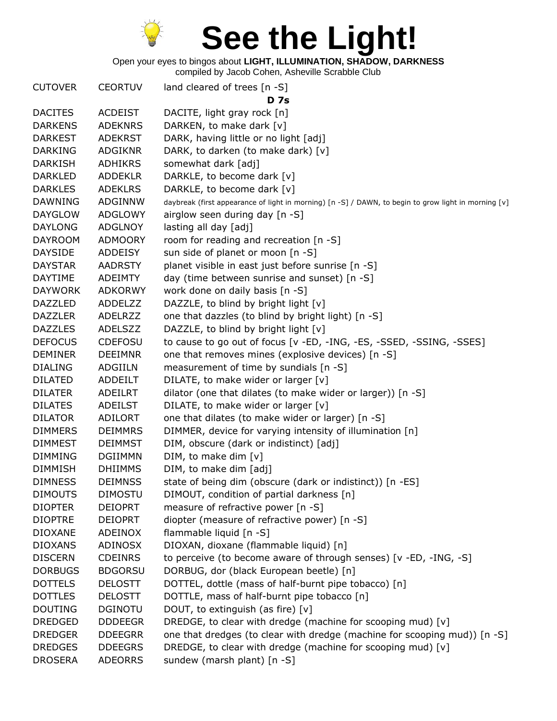

Open your eyes to bingos about **LIGHT, ILLUMINATION, SHADOW, DARKNESS**

| <b>CUTOVER</b> | <b>CEORTUV</b> | land cleared of trees [n -S]<br><b>D</b> 7s                                                          |
|----------------|----------------|------------------------------------------------------------------------------------------------------|
| <b>DACITES</b> | <b>ACDEIST</b> | DACITE, light gray rock [n]                                                                          |
| <b>DARKENS</b> | <b>ADEKNRS</b> | DARKEN, to make dark [v]                                                                             |
| <b>DARKEST</b> | <b>ADEKRST</b> | DARK, having little or no light [adj]                                                                |
| <b>DARKING</b> | <b>ADGIKNR</b> | DARK, to darken (to make dark) [v]                                                                   |
| <b>DARKISH</b> | <b>ADHIKRS</b> | somewhat dark [adj]                                                                                  |
| <b>DARKLED</b> | <b>ADDEKLR</b> | DARKLE, to become dark [v]                                                                           |
| <b>DARKLES</b> | <b>ADEKLRS</b> | DARKLE, to become dark [v]                                                                           |
| <b>DAWNING</b> | <b>ADGINNW</b> | daybreak (first appearance of light in morning) [n -S] / DAWN, to begin to grow light in morning [v] |
| <b>DAYGLOW</b> | <b>ADGLOWY</b> | airglow seen during day [n -S]                                                                       |
| <b>DAYLONG</b> | <b>ADGLNOY</b> | lasting all day [adj]                                                                                |
| <b>DAYROOM</b> | <b>ADMOORY</b> | room for reading and recreation [n -S]                                                               |
| <b>DAYSIDE</b> | <b>ADDEISY</b> | sun side of planet or moon [n -S]                                                                    |
| <b>DAYSTAR</b> | <b>AADRSTY</b> | planet visible in east just before sunrise [n -S]                                                    |
| DAYTIME        | <b>ADEIMTY</b> | day (time between sunrise and sunset) [n -S]                                                         |
| <b>DAYWORK</b> | <b>ADKORWY</b> | work done on daily basis [n -S]                                                                      |
| <b>DAZZLED</b> | <b>ADDELZZ</b> | DAZZLE, to blind by bright light [v]                                                                 |
| <b>DAZZLER</b> | ADELRZZ        | one that dazzles (to blind by bright light) [n -S]                                                   |
| <b>DAZZLES</b> | <b>ADELSZZ</b> | DAZZLE, to blind by bright light [v]                                                                 |
| <b>DEFOCUS</b> | <b>CDEFOSU</b> | to cause to go out of focus [v -ED, -ING, -ES, -SSED, -SSING, -SSES]                                 |
| <b>DEMINER</b> | <b>DEEIMNR</b> | one that removes mines (explosive devices) [n -S]                                                    |
| <b>DIALING</b> | ADGIILN        | measurement of time by sundials [n -S]                                                               |
| <b>DILATED</b> | ADDEILT        | DILATE, to make wider or larger [v]                                                                  |
| <b>DILATER</b> | <b>ADEILRT</b> | dilator (one that dilates (to make wider or larger)) [n -S]                                          |
| <b>DILATES</b> | <b>ADEILST</b> | DILATE, to make wider or larger [v]                                                                  |
| <b>DILATOR</b> | ADILORT        | one that dilates (to make wider or larger) [n -S]                                                    |
| <b>DIMMERS</b> | <b>DEIMMRS</b> | DIMMER, device for varying intensity of illumination [n]                                             |
| <b>DIMMEST</b> | <b>DEIMMST</b> | DIM, obscure (dark or indistinct) [adj]                                                              |
| <b>DIMMING</b> | <b>DGIIMMN</b> | DIM, to make dim [v]                                                                                 |
| <b>DIMMISH</b> | <b>DHIIMMS</b> | DIM, to make dim [adj]                                                                               |
| <b>DIMNESS</b> | <b>DEIMNSS</b> | state of being dim (obscure (dark or indistinct)) [n -ES]                                            |
| <b>DIMOUTS</b> | <b>DIMOSTU</b> | DIMOUT, condition of partial darkness [n]                                                            |
| <b>DIOPTER</b> | <b>DEIOPRT</b> | measure of refractive power [n -S]                                                                   |
| <b>DIOPTRE</b> | <b>DEIOPRT</b> | diopter (measure of refractive power) [n -S]                                                         |
| <b>DIOXANE</b> | ADEINOX        | flammable liquid [n -S]                                                                              |
| <b>DIOXANS</b> | <b>ADINOSX</b> | DIOXAN, dioxane (flammable liquid) [n]                                                               |
| <b>DISCERN</b> | <b>CDEINRS</b> | to perceive (to become aware of through senses) [v -ED, -ING, -S]                                    |
| <b>DORBUGS</b> | <b>BDGORSU</b> | DORBUG, dor (black European beetle) [n]                                                              |
| <b>DOTTELS</b> | <b>DELOSTT</b> | DOTTEL, dottle (mass of half-burnt pipe tobacco) [n]                                                 |
| <b>DOTTLES</b> | <b>DELOSTT</b> | DOTTLE, mass of half-burnt pipe tobacco [n]                                                          |
| <b>DOUTING</b> | <b>DGINOTU</b> | DOUT, to extinguish (as fire) [v]                                                                    |
| <b>DREDGED</b> | <b>DDDEEGR</b> | DREDGE, to clear with dredge (machine for scooping mud) [v]                                          |
| <b>DREDGER</b> | <b>DDEEGRR</b> | one that dredges (to clear with dredge (machine for scooping mud)) [n -S]                            |
| <b>DREDGES</b> | <b>DDEEGRS</b> | DREDGE, to clear with dredge (machine for scooping mud) [v]                                          |
| <b>DROSERA</b> | <b>ADEORRS</b> | sundew (marsh plant) [n -S]                                                                          |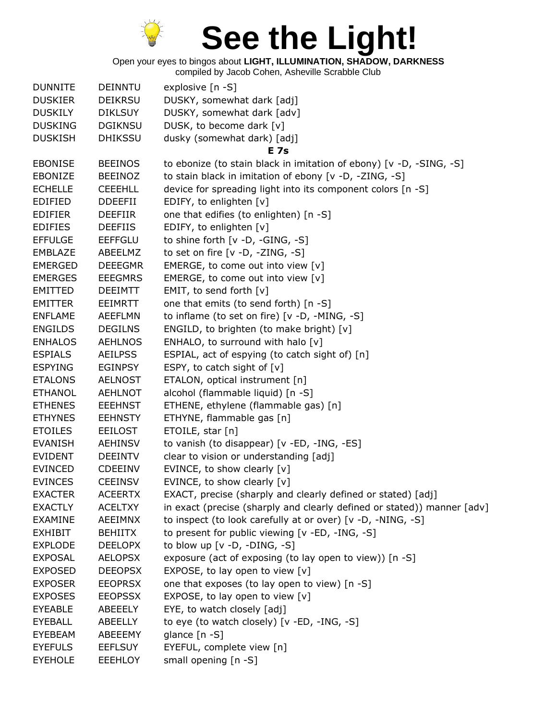

Open your eyes to bingos about **LIGHT, ILLUMINATION, SHADOW, DARKNESS**

| <b>DUNNITE</b> | <b>DEINNTU</b> | explosive [n -S]                                                        |
|----------------|----------------|-------------------------------------------------------------------------|
| <b>DUSKIER</b> | <b>DEIKRSU</b> | DUSKY, somewhat dark [adj]                                              |
| <b>DUSKILY</b> | <b>DIKLSUY</b> | DUSKY, somewhat dark [adv]                                              |
| <b>DUSKING</b> | <b>DGIKNSU</b> | DUSK, to become dark [v]                                                |
| <b>DUSKISH</b> | <b>DHIKSSU</b> | dusky (somewhat dark) [adj]                                             |
|                |                | E 7s                                                                    |
| <b>EBONISE</b> | <b>BEEINOS</b> | to ebonize (to stain black in imitation of ebony) [v -D, -SING, -S]     |
| <b>EBONIZE</b> | <b>BEEINOZ</b> | to stain black in imitation of ebony [v -D, -ZING, -S]                  |
| <b>ECHELLE</b> | <b>CEEEHLL</b> | device for spreading light into its component colors [n -S]             |
| <b>EDIFIED</b> | <b>DDEEFII</b> | EDIFY, to enlighten [v]                                                 |
| <b>EDIFIER</b> | <b>DEEFIIR</b> | one that edifies (to enlighten) [n -S]                                  |
| <b>EDIFIES</b> | <b>DEEFIIS</b> | EDIFY, to enlighten [v]                                                 |
| <b>EFFULGE</b> | <b>EEFFGLU</b> | to shine forth $[v -D, -GING, -S]$                                      |
| <b>EMBLAZE</b> | ABEELMZ        | to set on fire $[v -D, -ZING, -S]$                                      |
| <b>EMERGED</b> | <b>DEEEGMR</b> | EMERGE, to come out into view [v]                                       |
| <b>EMERGES</b> | <b>EEEGMRS</b> | EMERGE, to come out into view [v]                                       |
| <b>EMITTED</b> | <b>DEEIMTT</b> | EMIT, to send forth $[v]$                                               |
| <b>EMITTER</b> | <b>EEIMRTT</b> | one that emits (to send forth) [n -S]                                   |
| <b>ENFLAME</b> | <b>AEEFLMN</b> | to inflame (to set on fire) $[v -D, -MING, -S]$                         |
| <b>ENGILDS</b> | <b>DEGILNS</b> | ENGILD, to brighten (to make bright) [v]                                |
| <b>ENHALOS</b> | <b>AEHLNOS</b> | ENHALO, to surround with halo [v]                                       |
| <b>ESPIALS</b> | <b>AEILPSS</b> | ESPIAL, act of espying (to catch sight of) [n]                          |
| <b>ESPYING</b> | <b>EGINPSY</b> | ESPY, to catch sight of $[v]$                                           |
| <b>ETALONS</b> | <b>AELNOST</b> | ETALON, optical instrument [n]                                          |
| <b>ETHANOL</b> | <b>AEHLNOT</b> | alcohol (flammable liquid) [n -S]                                       |
| <b>ETHENES</b> | <b>EEEHNST</b> | ETHENE, ethylene (flammable gas) [n]                                    |
| <b>ETHYNES</b> | <b>EEHNSTY</b> | ETHYNE, flammable gas [n]                                               |
| <b>ETOILES</b> | <b>EEILOST</b> | ETOILE, star [n]                                                        |
| <b>EVANISH</b> | <b>AEHINSV</b> | to vanish (to disappear) [v -ED, -ING, -ES]                             |
| <b>EVIDENT</b> | <b>DEEINTV</b> | clear to vision or understanding [adj]                                  |
| <b>EVINCED</b> | <b>CDEEINV</b> | EVINCE, to show clearly [v]                                             |
| <b>EVINCES</b> | <b>CEEINSV</b> | EVINCE, to show clearly [v]                                             |
| <b>EXACTER</b> | <b>ACEERTX</b> | EXACT, precise (sharply and clearly defined or stated) [adj]            |
| <b>EXACTLY</b> | <b>ACELTXY</b> | in exact (precise (sharply and clearly defined or stated)) manner [adv] |
| <b>EXAMINE</b> | AEEIMNX        | to inspect (to look carefully at or over) [v -D, -NING, -S]             |
| <b>EXHIBIT</b> | <b>BEHIITX</b> | to present for public viewing [v -ED, -ING, -S]                         |
| <b>EXPLODE</b> | <b>DEELOPX</b> | to blow up $[v -D, -DING, -S]$                                          |
| <b>EXPOSAL</b> | <b>AELOPSX</b> | exposure (act of exposing (to lay open to view)) [n -S]                 |
| <b>EXPOSED</b> | <b>DEEOPSX</b> | EXPOSE, to lay open to view [v]                                         |
| <b>EXPOSER</b> | <b>EEOPRSX</b> | one that exposes (to lay open to view) [n -S]                           |
| <b>EXPOSES</b> | <b>EEOPSSX</b> | EXPOSE, to lay open to view [v]                                         |
| EYEABLE        | ABEEELY        | EYE, to watch closely [adj]                                             |
| <b>EYEBALL</b> | ABEELLY        | to eye (to watch closely) [v -ED, -ING, -S]                             |
| EYEBEAM        | ABEEEMY        | glance $[n - S]$                                                        |
| <b>EYEFULS</b> | <b>EEFLSUY</b> | EYEFUL, complete view [n]                                               |
| <b>EYEHOLE</b> | EEEHLOY        | small opening [n -S]                                                    |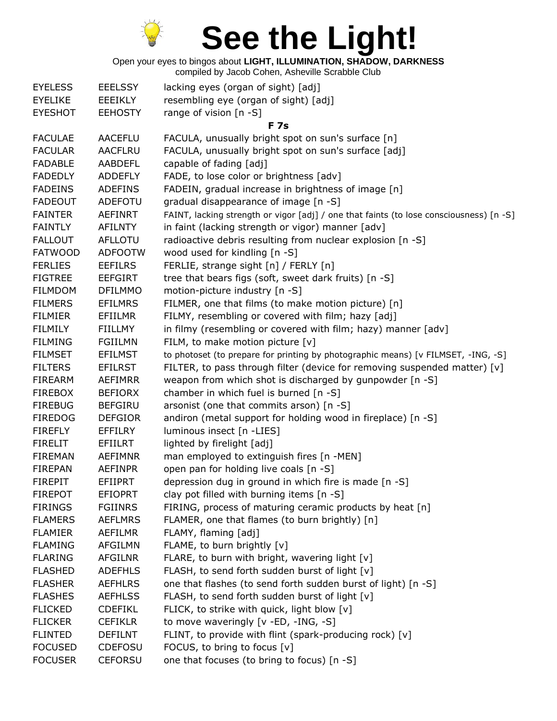

Open your eyes to bingos about **LIGHT, ILLUMINATION, SHADOW, DARKNESS**

| <b>EYELESS</b> | <b>EEELSSY</b> | lacking eyes (organ of sight) [adj]                                                     |
|----------------|----------------|-----------------------------------------------------------------------------------------|
| <b>EYELIKE</b> | EEEIKLY        | resembling eye (organ of sight) [adj]                                                   |
| <b>EYESHOT</b> | <b>EEHOSTY</b> | range of vision [n -S]                                                                  |
|                |                | <b>F</b> 7s                                                                             |
| <b>FACULAE</b> | <b>AACEFLU</b> | FACULA, unusually bright spot on sun's surface [n]                                      |
| <b>FACULAR</b> | <b>AACFLRU</b> | FACULA, unusually bright spot on sun's surface [adj]                                    |
| <b>FADABLE</b> | <b>AABDEFL</b> | capable of fading [adj]                                                                 |
| <b>FADEDLY</b> | <b>ADDEFLY</b> | FADE, to lose color or brightness [adv]                                                 |
| <b>FADEINS</b> | <b>ADEFINS</b> | FADEIN, gradual increase in brightness of image [n]                                     |
| <b>FADEOUT</b> | ADEFOTU        | gradual disappearance of image [n -S]                                                   |
| <b>FAINTER</b> | AEFINRT        | FAINT, lacking strength or vigor [adj] / one that faints (to lose consciousness) [n -S] |
| <b>FAINTLY</b> | AFILNTY        | in faint (lacking strength or vigor) manner [adv]                                       |
| <b>FALLOUT</b> | AFLLOTU        | radioactive debris resulting from nuclear explosion [n -S]                              |
| <b>FATWOOD</b> | <b>ADFOOTW</b> | wood used for kindling [n -S]                                                           |
| <b>FERLIES</b> | <b>EEFILRS</b> | FERLIE, strange sight [n] / FERLY [n]                                                   |
| <b>FIGTREE</b> | <b>EEFGIRT</b> | tree that bears figs (soft, sweet dark fruits) [n -S]                                   |
| <b>FILMDOM</b> | <b>DFILMMO</b> | motion-picture industry [n -S]                                                          |
| <b>FILMERS</b> | <b>EFILMRS</b> | FILMER, one that films (to make motion picture) [n]                                     |
| <b>FILMIER</b> | EFIILMR        | FILMY, resembling or covered with film; hazy [adj]                                      |
| <b>FILMILY</b> | <b>FIILLMY</b> | in filmy (resembling or covered with film; hazy) manner [adv]                           |
| <b>FILMING</b> | <b>FGIILMN</b> | FILM, to make motion picture [v]                                                        |
| <b>FILMSET</b> | <b>EFILMST</b> | to photoset (to prepare for printing by photographic means) [v FILMSET, -ING, -S]       |
| <b>FILTERS</b> | <b>EFILRST</b> | FILTER, to pass through filter (device for removing suspended matter) [v]               |
| <b>FIREARM</b> | <b>AEFIMRR</b> | weapon from which shot is discharged by gunpowder [n -S]                                |
| <b>FIREBOX</b> | <b>BEFIORX</b> | chamber in which fuel is burned [n -S]                                                  |
| <b>FIREBUG</b> | <b>BEFGIRU</b> | arsonist (one that commits arson) [n -S]                                                |
| <b>FIREDOG</b> | <b>DEFGIOR</b> | andiron (metal support for holding wood in fireplace) [n -S]                            |
| <b>FIREFLY</b> | <b>EFFILRY</b> | luminous insect [n -LIES]                                                               |
| <b>FIRELIT</b> | <b>EFIILRT</b> | lighted by firelight [adj]                                                              |
| <b>FIREMAN</b> | <b>AEFIMNR</b> | man employed to extinguish fires [n -MEN]                                               |
| <b>FIREPAN</b> | <b>AEFINPR</b> | open pan for holding live coals [n -S]                                                  |
| <b>FIREPIT</b> | <b>EFIIPRT</b> | depression dug in ground in which fire is made [n -S]                                   |
| <b>FIREPOT</b> | <b>EFIOPRT</b> | clay pot filled with burning items [n -S]                                               |
| <b>FIRINGS</b> | <b>FGIINRS</b> | FIRING, process of maturing ceramic products by heat [n]                                |
| <b>FLAMERS</b> | <b>AEFLMRS</b> | FLAMER, one that flames (to burn brightly) [n]                                          |
| <b>FLAMIER</b> | AEFILMR        | FLAMY, flaming [adj]                                                                    |
| <b>FLAMING</b> | <b>AFGILMN</b> | FLAME, to burn brightly [v]                                                             |
| <b>FLARING</b> | <b>AFGILNR</b> | FLARE, to burn with bright, wavering light [v]                                          |
| <b>FLASHED</b> | <b>ADEFHLS</b> | FLASH, to send forth sudden burst of light [v]                                          |
| <b>FLASHER</b> | <b>AEFHLRS</b> | one that flashes (to send forth sudden burst of light) [n -S]                           |
| <b>FLASHES</b> | <b>AEFHLSS</b> | FLASH, to send forth sudden burst of light [v]                                          |
| <b>FLICKED</b> | <b>CDEFIKL</b> | FLICK, to strike with quick, light blow [v]                                             |
| <b>FLICKER</b> | <b>CEFIKLR</b> | to move waveringly [v -ED, -ING, -S]                                                    |
| <b>FLINTED</b> | <b>DEFILNT</b> | FLINT, to provide with flint (spark-producing rock) [v]                                 |
| <b>FOCUSED</b> | <b>CDEFOSU</b> | FOCUS, to bring to focus [v]                                                            |
| <b>FOCUSER</b> | <b>CEFORSU</b> | one that focuses (to bring to focus) [n -S]                                             |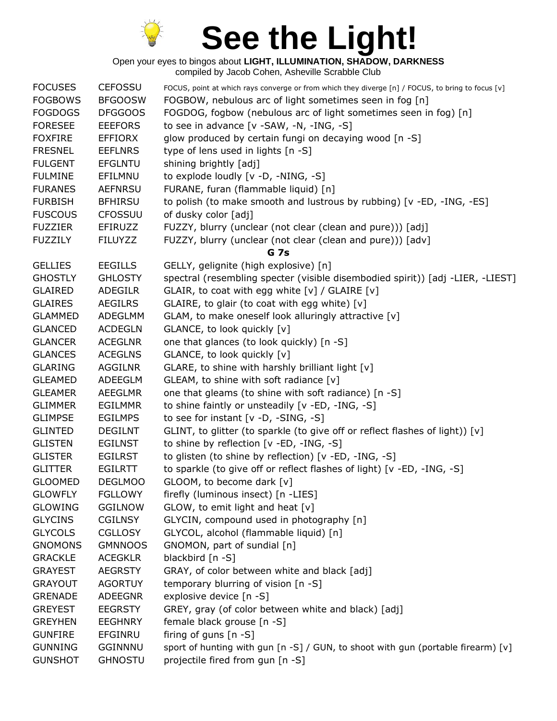

| <b>FOCUSES</b> | <b>CEFOSSU</b> | FOCUS, point at which rays converge or from which they diverge [n] / FOCUS, to bring to focus [v] |
|----------------|----------------|---------------------------------------------------------------------------------------------------|
| <b>FOGBOWS</b> | <b>BFGOOSW</b> | FOGBOW, nebulous arc of light sometimes seen in fog [n]                                           |
| <b>FOGDOGS</b> | <b>DFGGOOS</b> | FOGDOG, fogbow (nebulous arc of light sometimes seen in fog) [n]                                  |
| <b>FORESEE</b> | <b>EEEFORS</b> | to see in advance [v -SAW, -N, -ING, -S]                                                          |
| <b>FOXFIRE</b> | <b>EFFIORX</b> | glow produced by certain fungi on decaying wood [n -S]                                            |
| <b>FRESNEL</b> | <b>EEFLNRS</b> | type of lens used in lights [n -S]                                                                |
| <b>FULGENT</b> | <b>EFGLNTU</b> | shining brightly [adj]                                                                            |
| <b>FULMINE</b> | EFILMNU        | to explode loudly [v -D, -NING, -S]                                                               |
| <b>FURANES</b> | <b>AEFNRSU</b> | FURANE, furan (flammable liquid) [n]                                                              |
| <b>FURBISH</b> | <b>BFHIRSU</b> | to polish (to make smooth and lustrous by rubbing) [v -ED, -ING, -ES]                             |
| <b>FUSCOUS</b> | <b>CFOSSUU</b> | of dusky color [adj]                                                                              |
| <b>FUZZIER</b> | EFIRUZZ        | FUZZY, blurry (unclear (not clear (clean and pure))) [adj]                                        |
| <b>FUZZILY</b> | <b>FILUYZZ</b> | FUZZY, blurry (unclear (not clear (clean and pure))) [adv]                                        |
|                |                | <b>G</b> 7s                                                                                       |
| <b>GELLIES</b> | <b>EEGILLS</b> | GELLY, gelignite (high explosive) [n]                                                             |
| <b>GHOSTLY</b> | <b>GHLOSTY</b> | spectral (resembling specter (visible disembodied spirit)) [adj -LIER, -LIEST]                    |
| <b>GLAIRED</b> | <b>ADEGILR</b> | GLAIR, to coat with egg white [v] / GLAIRE [v]                                                    |
| <b>GLAIRES</b> | <b>AEGILRS</b> | GLAIRE, to glair (to coat with egg white) [v]                                                     |
| <b>GLAMMED</b> | ADEGLMM        | GLAM, to make oneself look alluringly attractive [v]                                              |
| <b>GLANCED</b> | <b>ACDEGLN</b> | GLANCE, to look quickly [v]                                                                       |
| <b>GLANCER</b> | <b>ACEGLNR</b> | one that glances (to look quickly) [n -S]                                                         |
| <b>GLANCES</b> | <b>ACEGLNS</b> | GLANCE, to look quickly [v]                                                                       |
| <b>GLARING</b> | <b>AGGILNR</b> | GLARE, to shine with harshly brilliant light [v]                                                  |
| <b>GLEAMED</b> | ADEEGLM        | GLEAM, to shine with soft radiance [v]                                                            |
| <b>GLEAMER</b> | <b>AEEGLMR</b> | one that gleams (to shine with soft radiance) [n -S]                                              |
| <b>GLIMMER</b> | <b>EGILMMR</b> | to shine faintly or unsteadily [v -ED, -ING, -S]                                                  |
| <b>GLIMPSE</b> | <b>EGILMPS</b> | to see for instant $[v -D, -SING, -S]$                                                            |
| <b>GLINTED</b> | <b>DEGILNT</b> | GLINT, to glitter (to sparkle (to give off or reflect flashes of light)) [v]                      |
| <b>GLISTEN</b> | <b>EGILNST</b> | to shine by reflection [v -ED, -ING, -S]                                                          |
| <b>GLISTER</b> | <b>EGILRST</b> | to glisten (to shine by reflection) [v -ED, -ING, -S]                                             |
| <b>GLITTER</b> | <b>EGILRTT</b> | to sparkle (to give off or reflect flashes of light) [v -ED, -ING, -S]                            |
| <b>GLOOMED</b> | <b>DEGLMOO</b> | GLOOM, to become dark [v]                                                                         |
| <b>GLOWFLY</b> | <b>FGLLOWY</b> | firefly (luminous insect) [n -LIES]                                                               |
| <b>GLOWING</b> | <b>GGILNOW</b> | GLOW, to emit light and heat [v]                                                                  |
| <b>GLYCINS</b> | <b>CGILNSY</b> | GLYCIN, compound used in photography [n]                                                          |
| <b>GLYCOLS</b> | <b>CGLLOSY</b> | GLYCOL, alcohol (flammable liquid) [n]                                                            |
| <b>GNOMONS</b> | <b>GMNNOOS</b> | GNOMON, part of sundial [n]                                                                       |
| <b>GRACKLE</b> | <b>ACEGKLR</b> | blackbird [n -S]                                                                                  |
| <b>GRAYEST</b> | <b>AEGRSTY</b> | GRAY, of color between white and black [adj]                                                      |
| <b>GRAYOUT</b> | <b>AGORTUY</b> | temporary blurring of vision [n -S]                                                               |
| <b>GRENADE</b> | <b>ADEEGNR</b> | explosive device [n -S]                                                                           |
| <b>GREYEST</b> | <b>EEGRSTY</b> | GREY, gray (of color between white and black) [adj]                                               |
| <b>GREYHEN</b> | <b>EEGHNRY</b> | female black grouse [n -S]                                                                        |
| <b>GUNFIRE</b> | <b>EFGINRU</b> | firing of guns [n -S]                                                                             |
| <b>GUNNING</b> | <b>GGINNNU</b> | sport of hunting with gun [n -S] / GUN, to shoot with gun (portable firearm) [v]                  |
| <b>GUNSHOT</b> | <b>GHNOSTU</b> | projectile fired from gun [n -S]                                                                  |
|                |                |                                                                                                   |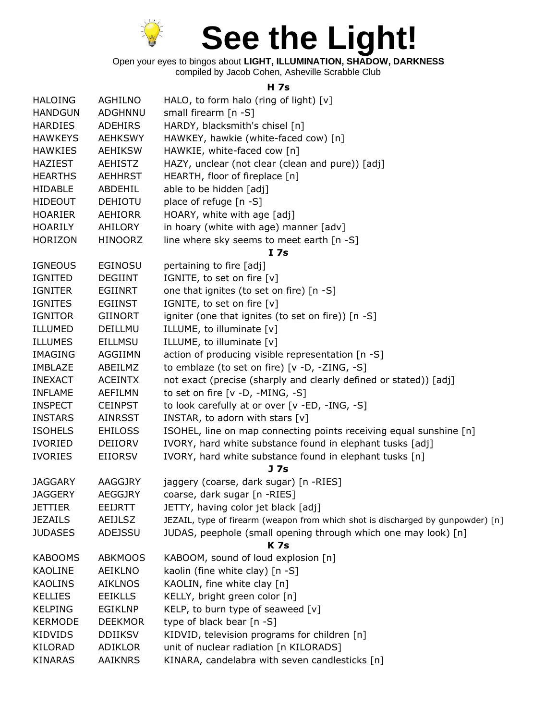

Open your eyes to bingos about **LIGHT, ILLUMINATION, SHADOW, DARKNESS** compiled by Jacob Cohen, Asheville Scrabble Club

## **H 7s**

| <b>HALOING</b> | AGHILNO        | HALO, to form halo (ring of light) $[v]$                                        |
|----------------|----------------|---------------------------------------------------------------------------------|
| <b>HANDGUN</b> | ADGHNNU        | small firearm [n -S]                                                            |
| <b>HARDIES</b> | <b>ADEHIRS</b> | HARDY, blacksmith's chisel [n]                                                  |
| <b>HAWKEYS</b> | <b>AEHKSWY</b> | HAWKEY, hawkie (white-faced cow) [n]                                            |
| <b>HAWKIES</b> | <b>AEHIKSW</b> | HAWKIE, white-faced cow [n]                                                     |
| <b>HAZIEST</b> | <b>AEHISTZ</b> | HAZY, unclear (not clear (clean and pure)) [adj]                                |
| <b>HEARTHS</b> | <b>AEHHRST</b> | HEARTH, floor of fireplace [n]                                                  |
| <b>HIDABLE</b> | ABDEHIL        | able to be hidden [adj]                                                         |
| <b>HIDEOUT</b> | <b>DEHIOTU</b> | place of refuge [n -S]                                                          |
| <b>HOARIER</b> | AEHIORR        | HOARY, white with age [adj]                                                     |
| <b>HOARILY</b> | AHILORY        | in hoary (white with age) manner [adv]                                          |
| <b>HORIZON</b> | <b>HINOORZ</b> | line where sky seems to meet earth [n -S]                                       |
|                |                | I <sub>7s</sub>                                                                 |
| <b>IGNEOUS</b> | <b>EGINOSU</b> | pertaining to fire [adj]                                                        |
| IGNITED        | <b>DEGIINT</b> | IGNITE, to set on fire [v]                                                      |
| <b>IGNITER</b> | <b>EGIINRT</b> | one that ignites (to set on fire) [n -S]                                        |
| <b>IGNITES</b> | <b>EGIINST</b> | IGNITE, to set on fire [v]                                                      |
| <b>IGNITOR</b> | <b>GIINORT</b> | igniter (one that ignites (to set on fire)) [n -S]                              |
| ILLUMED        | DEILLMU        | ILLUME, to illuminate [v]                                                       |
| <b>ILLUMES</b> | <b>EILLMSU</b> | ILLUME, to illuminate [v]                                                       |
| <b>IMAGING</b> | <b>AGGIIMN</b> | action of producing visible representation [n -S]                               |
| <b>IMBLAZE</b> | ABEILMZ        | to emblaze (to set on fire) [v -D, -ZING, -S]                                   |
| <b>INEXACT</b> | <b>ACEINTX</b> | not exact (precise (sharply and clearly defined or stated)) [adj]               |
| <b>INFLAME</b> | <b>AEFILMN</b> | to set on fire [v -D, -MING, -S]                                                |
| <b>INSPECT</b> | <b>CEINPST</b> | to look carefully at or over [v -ED, -ING, -S]                                  |
| <b>INSTARS</b> | <b>AINRSST</b> | INSTAR, to adorn with stars [v]                                                 |
| <b>ISOHELS</b> | <b>EHILOSS</b> | ISOHEL, line on map connecting points receiving equal sunshine [n]              |
| <b>IVORIED</b> | DEIIORV        | IVORY, hard white substance found in elephant tusks [adj]                       |
| <b>IVORIES</b> | <b>EIIORSV</b> | IVORY, hard white substance found in elephant tusks [n]                         |
|                |                | J <sub>7s</sub>                                                                 |
| <b>JAGGARY</b> | AAGGJRY        | jaggery (coarse, dark sugar) [n -RIES]                                          |
| <b>JAGGERY</b> | <b>AEGGJRY</b> | coarse, dark sugar [n -RIES]                                                    |
| <b>JETTIER</b> | EEIJRTT        | JETTY, having color jet black [adj]                                             |
| <b>JEZAILS</b> | AEIJLSZ        | JEZAIL, type of firearm (weapon from which shot is discharged by gunpowder) [n] |
| <b>JUDASES</b> | ADEJSSU        | JUDAS, peephole (small opening through which one may look) [n]<br><b>K7s</b>    |
| <b>KABOOMS</b> | <b>ABKMOOS</b> | KABOOM, sound of loud explosion [n]                                             |
| <b>KAOLINE</b> | <b>AEIKLNO</b> | kaolin (fine white clay) [n -S]                                                 |
| <b>KAOLINS</b> | <b>AIKLNOS</b> | KAOLIN, fine white clay [n]                                                     |
| <b>KELLIES</b> | <b>EEIKLLS</b> | KELLY, bright green color [n]                                                   |
| <b>KELPING</b> | <b>EGIKLNP</b> | KELP, to burn type of seaweed $[v]$                                             |
| <b>KERMODE</b> | <b>DEEKMOR</b> | type of black bear [n -S]                                                       |
| <b>KIDVIDS</b> | <b>DDIIKSV</b> | KIDVID, television programs for children [n]                                    |
| KILORAD        | ADIKLOR        | unit of nuclear radiation [n KILORADS]                                          |
| <b>KINARAS</b> | <b>AAIKNRS</b> | KINARA, candelabra with seven candlesticks [n]                                  |
|                |                |                                                                                 |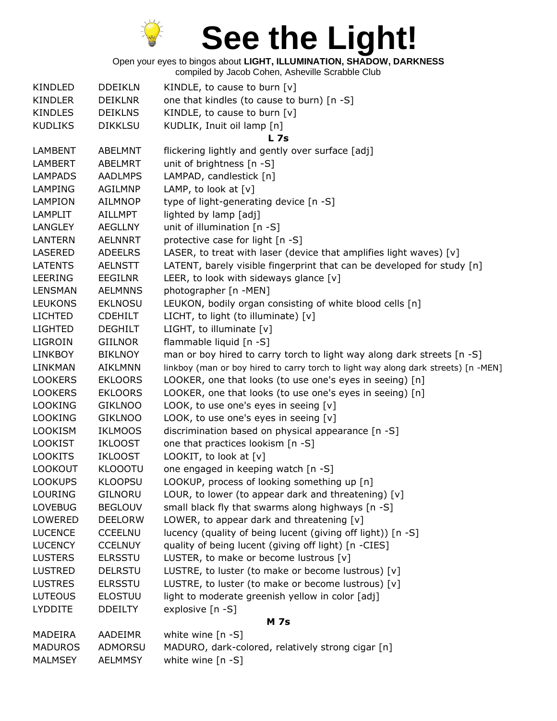

Open your eyes to bingos about **LIGHT, ILLUMINATION, SHADOW, DARKNESS**

| KINDLED        | <b>DDEIKLN</b> | KINDLE, to cause to burn $[v]$                                                     |
|----------------|----------------|------------------------------------------------------------------------------------|
| <b>KINDLER</b> | <b>DEIKLNR</b> | one that kindles (to cause to burn) [n -S]                                         |
| <b>KINDLES</b> | <b>DEIKLNS</b> | KINDLE, to cause to burn [v]                                                       |
| <b>KUDLIKS</b> | <b>DIKKLSU</b> | KUDLIK, Inuit oil lamp [n]                                                         |
|                |                | <b>L</b> 7s                                                                        |
| <b>LAMBENT</b> | ABELMNT        | flickering lightly and gently over surface [adj]                                   |
| LAMBERT        | ABELMRT        | unit of brightness [n -S]                                                          |
| <b>LAMPADS</b> | <b>AADLMPS</b> | LAMPAD, candlestick [n]                                                            |
| <b>LAMPING</b> | <b>AGILMNP</b> | LAMP, to look at $[v]$                                                             |
| LAMPION        | <b>AILMNOP</b> | type of light-generating device [n -S]                                             |
| LAMPLIT        | AILLMPT        | lighted by lamp [adj]                                                              |
| <b>LANGLEY</b> | <b>AEGLLNY</b> | unit of illumination [n -S]                                                        |
| <b>LANTERN</b> | <b>AELNNRT</b> | protective case for light [n -S]                                                   |
| <b>LASERED</b> | <b>ADEELRS</b> | LASER, to treat with laser (device that amplifies light waves) [v]                 |
| <b>LATENTS</b> | <b>AELNSTT</b> | LATENT, barely visible fingerprint that can be developed for study [n]             |
| LEERING        | <b>EEGILNR</b> | LEER, to look with sideways glance $[v]$                                           |
| <b>LENSMAN</b> | <b>AELMNNS</b> | photographer [n -MEN]                                                              |
| <b>LEUKONS</b> | <b>EKLNOSU</b> | LEUKON, bodily organ consisting of white blood cells [n]                           |
| <b>LICHTED</b> | <b>CDEHILT</b> | LICHT, to light (to illuminate) [v]                                                |
| <b>LIGHTED</b> | <b>DEGHILT</b> | LIGHT, to illuminate [v]                                                           |
| LIGROIN        | <b>GIILNOR</b> | flammable liquid [n -S]                                                            |
| <b>LINKBOY</b> | <b>BIKLNOY</b> | man or boy hired to carry torch to light way along dark streets [n -S]             |
| <b>LINKMAN</b> | <b>AIKLMNN</b> | linkboy (man or boy hired to carry torch to light way along dark streets) [n -MEN] |
| <b>LOOKERS</b> | <b>EKLOORS</b> | LOOKER, one that looks (to use one's eyes in seeing) [n]                           |
| <b>LOOKERS</b> | <b>EKLOORS</b> | LOOKER, one that looks (to use one's eyes in seeing) [n]                           |
| <b>LOOKING</b> | <b>GIKLNOO</b> | LOOK, to use one's eyes in seeing [v]                                              |
| <b>LOOKING</b> | <b>GIKLNOO</b> | LOOK, to use one's eyes in seeing [v]                                              |
| <b>LOOKISM</b> | <b>IKLMOOS</b> | discrimination based on physical appearance [n -S]                                 |
| <b>LOOKIST</b> | <b>IKLOOST</b> | one that practices lookism [n -S]                                                  |
| <b>LOOKITS</b> | <b>IKLOOST</b> | LOOKIT, to look at [v]                                                             |
| <b>LOOKOUT</b> | <b>KLOOOTU</b> | one engaged in keeping watch [n -S]                                                |
| <b>LOOKUPS</b> | <b>KLOOPSU</b> | LOOKUP, process of looking something up [n]                                        |
| LOURING        | GILNORU        | LOUR, to lower (to appear dark and threatening) [v]                                |
| <b>LOVEBUG</b> | <b>BEGLOUV</b> | small black fly that swarms along highways [n -S]                                  |
| <b>LOWERED</b> | <b>DEELORW</b> | LOWER, to appear dark and threatening [v]                                          |
| <b>LUCENCE</b> | <b>CCEELNU</b> | lucency (quality of being lucent (giving off light)) [n -S]                        |
| <b>LUCENCY</b> | <b>CCELNUY</b> | quality of being lucent (giving off light) [n -CIES]                               |
| <b>LUSTERS</b> | <b>ELRSSTU</b> | LUSTER, to make or become lustrous [v]                                             |
| <b>LUSTRED</b> | <b>DELRSTU</b> | LUSTRE, to luster (to make or become lustrous) [v]                                 |
| <b>LUSTRES</b> | <b>ELRSSTU</b> | LUSTRE, to luster (to make or become lustrous) [v]                                 |
| <b>LUTEOUS</b> | <b>ELOSTUU</b> | light to moderate greenish yellow in color [adj]                                   |
| <b>LYDDITE</b> | <b>DDEILTY</b> | explosive [n -S]                                                                   |
|                |                | <b>M</b> 7s                                                                        |
| <b>MADEIRA</b> | AADEIMR        | white wine $[n -S]$                                                                |
| <b>MADUROS</b> | ADMORSU        | MADURO, dark-colored, relatively strong cigar [n]                                  |
| <b>MALMSEY</b> | <b>AELMMSY</b> | white wine [n -S]                                                                  |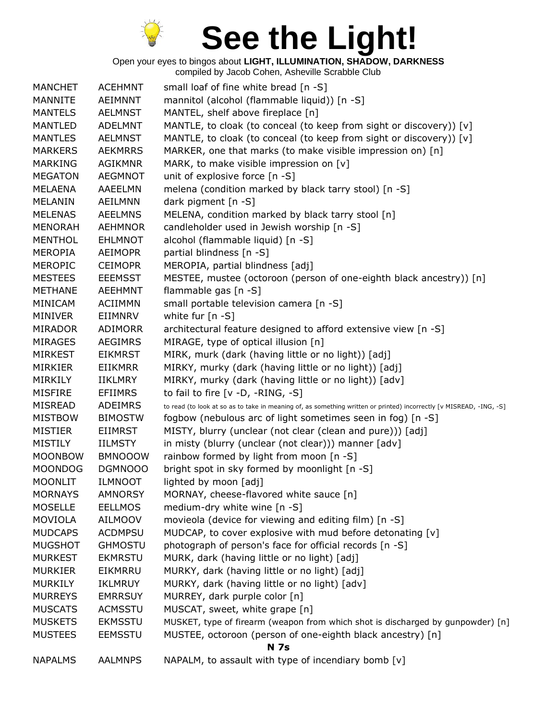

| <b>MANCHET</b> | <b>ACEHMNT</b> | small loaf of fine white bread [n -S]                                                                               |
|----------------|----------------|---------------------------------------------------------------------------------------------------------------------|
| MANNITE        | AEIMNNT        | mannitol (alcohol (flammable liquid)) [n -S]                                                                        |
| <b>MANTELS</b> | <b>AELMNST</b> | MANTEL, shelf above fireplace [n]                                                                                   |
| <b>MANTLED</b> | <b>ADELMNT</b> | MANTLE, to cloak (to conceal (to keep from sight or discovery)) [v]                                                 |
| <b>MANTLES</b> | <b>AELMNST</b> | MANTLE, to cloak (to conceal (to keep from sight or discovery)) [v]                                                 |
| <b>MARKERS</b> | <b>AEKMRRS</b> | MARKER, one that marks (to make visible impression on) [n]                                                          |
| <b>MARKING</b> | <b>AGIKMNR</b> | MARK, to make visible impression on [v]                                                                             |
| <b>MEGATON</b> | <b>AEGMNOT</b> | unit of explosive force [n -S]                                                                                      |
| <b>MELAENA</b> | AAEELMN        | melena (condition marked by black tarry stool) [n -S]                                                               |
| <b>MELANIN</b> | AEILMNN        | dark pigment [n -S]                                                                                                 |
| <b>MELENAS</b> | <b>AEELMNS</b> | MELENA, condition marked by black tarry stool [n]                                                                   |
| <b>MENORAH</b> | <b>AEHMNOR</b> | candleholder used in Jewish worship [n -S]                                                                          |
| <b>MENTHOL</b> | <b>EHLMNOT</b> | alcohol (flammable liquid) [n -S]                                                                                   |
| <b>MEROPIA</b> | <b>AEIMOPR</b> | partial blindness [n -S]                                                                                            |
| <b>MEROPIC</b> | <b>CEIMOPR</b> | MEROPIA, partial blindness [adj]                                                                                    |
| <b>MESTEES</b> | <b>EEEMSST</b> | MESTEE, mustee (octoroon (person of one-eighth black ancestry)) [n]                                                 |
| <b>METHANE</b> | <b>AEEHMNT</b> | flammable gas [n -S]                                                                                                |
| <b>MINICAM</b> | <b>ACIIMMN</b> | small portable television camera [n -S]                                                                             |
| MINIVER        | EIIMNRV        | white fur [n -S]                                                                                                    |
| <b>MIRADOR</b> | <b>ADIMORR</b> | architectural feature designed to afford extensive view [n -S]                                                      |
| <b>MIRAGES</b> | <b>AEGIMRS</b> | MIRAGE, type of optical illusion [n]                                                                                |
| <b>MIRKEST</b> | <b>EIKMRST</b> | MIRK, murk (dark (having little or no light)) [adj]                                                                 |
| MIRKIER        | <b>EIIKMRR</b> | MIRKY, murky (dark (having little or no light)) [adj]                                                               |
| MIRKILY        | <b>IIKLMRY</b> | MIRKY, murky (dark (having little or no light)) [adv]                                                               |
| <b>MISFIRE</b> | EFIIMRS        | to fail to fire $[v -D, -RING, -S]$                                                                                 |
| <b>MISREAD</b> | ADEIMRS        | to read (to look at so as to take in meaning of, as something written or printed) incorrectly [v MISREAD, -ING, -S] |
| <b>MISTBOW</b> | <b>BIMOSTW</b> | fogbow (nebulous arc of light sometimes seen in fog) [n -S]                                                         |
| <b>MISTIER</b> | <b>EIIMRST</b> | MISTY, blurry (unclear (not clear (clean and pure))) [adj]                                                          |
| <b>MISTILY</b> | <b>IILMSTY</b> | in misty (blurry (unclear (not clear))) manner [adv]                                                                |
| <b>MOONBOW</b> | <b>BMNOOOW</b> | rainbow formed by light from moon [n -S]                                                                            |
| <b>MOONDOG</b> | DGMNOOO        | bright spot in sky formed by moonlight [n -S]                                                                       |
| <b>MOONLIT</b> | <b>ILMNOOT</b> | lighted by moon [adj]                                                                                               |
| <b>MORNAYS</b> | <b>AMNORSY</b> | MORNAY, cheese-flavored white sauce [n]                                                                             |
| <b>MOSELLE</b> | <b>EELLMOS</b> | medium-dry white wine [n -S]                                                                                        |
| <b>MOVIOLA</b> | <b>AILMOOV</b> | movieola (device for viewing and editing film) [n -S]                                                               |
| <b>MUDCAPS</b> | <b>ACDMPSU</b> | MUDCAP, to cover explosive with mud before detonating [v]                                                           |
| <b>MUGSHOT</b> | <b>GHMOSTU</b> | photograph of person's face for official records [n -S]                                                             |
| <b>MURKEST</b> | <b>EKMRSTU</b> | MURK, dark (having little or no light) [adj]                                                                        |
| <b>MURKIER</b> | EIKMRRU        | MURKY, dark (having little or no light) [adj]                                                                       |
| <b>MURKILY</b> | IKLMRUY        | MURKY, dark (having little or no light) [adv]                                                                       |
| <b>MURREYS</b> | <b>EMRRSUY</b> | MURREY, dark purple color [n]                                                                                       |
| <b>MUSCATS</b> | <b>ACMSSTU</b> | MUSCAT, sweet, white grape [n]                                                                                      |
| <b>MUSKETS</b> | <b>EKMSSTU</b> | MUSKET, type of firearm (weapon from which shot is discharged by gunpowder) [n]                                     |
| <b>MUSTEES</b> | <b>EEMSSTU</b> | MUSTEE, octoroon (person of one-eighth black ancestry) [n]                                                          |
|                |                | <b>N</b> 7s                                                                                                         |
| <b>NAPALMS</b> | <b>AALMNPS</b> | NAPALM, to assault with type of incendiary bomb [v]                                                                 |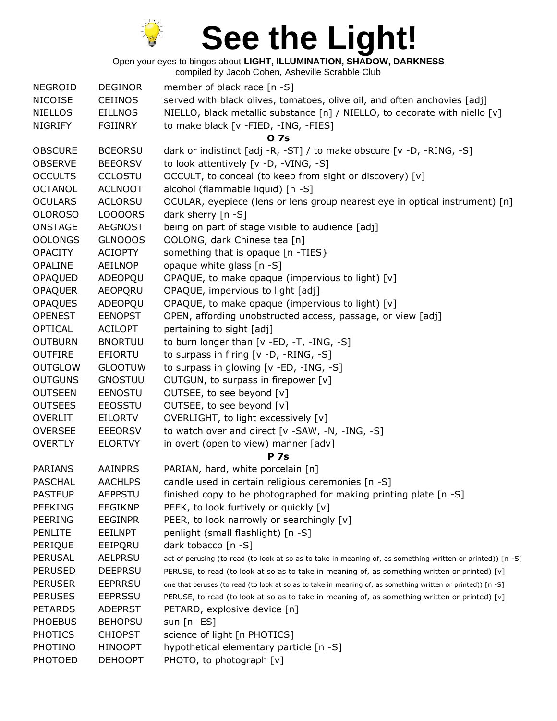

Open your eyes to bingos about **LIGHT, ILLUMINATION, SHADOW, DARKNESS**

| <b>NEGROID</b> | <b>DEGINOR</b> | member of black race [n -S]                                                                                 |
|----------------|----------------|-------------------------------------------------------------------------------------------------------------|
| <b>NICOISE</b> | <b>CEIINOS</b> | served with black olives, tomatoes, olive oil, and often anchovies [adj]                                    |
| <b>NIELLOS</b> | <b>EILLNOS</b> | NIELLO, black metallic substance [n] / NIELLO, to decorate with niello [v]                                  |
| <b>NIGRIFY</b> | <b>FGIINRY</b> | to make black [v -FIED, -ING, -FIES]                                                                        |
|                |                | 0 7s                                                                                                        |
| <b>OBSCURE</b> | <b>BCEORSU</b> | dark or indistinct [adj -R, -ST] / to make obscure [v -D, -RING, -S]                                        |
| <b>OBSERVE</b> | <b>BEEORSV</b> | to look attentively [v -D, -VING, -S]                                                                       |
| <b>OCCULTS</b> | <b>CCLOSTU</b> | OCCULT, to conceal (to keep from sight or discovery) [v]                                                    |
| <b>OCTANOL</b> | <b>ACLNOOT</b> | alcohol (flammable liquid) [n -S]                                                                           |
| <b>OCULARS</b> | <b>ACLORSU</b> | OCULAR, eyepiece (lens or lens group nearest eye in optical instrument) [n]                                 |
| <b>OLOROSO</b> | LOOOORS        | dark sherry $[n - S]$                                                                                       |
| <b>ONSTAGE</b> | <b>AEGNOST</b> | being on part of stage visible to audience [adj]                                                            |
| <b>OOLONGS</b> | <b>GLNOOOS</b> | OOLONG, dark Chinese tea [n]                                                                                |
| <b>OPACITY</b> | <b>ACIOPTY</b> | something that is opaque [n -TIES}                                                                          |
| <b>OPALINE</b> | AEILNOP        | opaque white glass [n -S]                                                                                   |
| OPAQUED        | ADEOPQU        | OPAQUE, to make opaque (impervious to light) [v]                                                            |
| <b>OPAQUER</b> | <b>AEOPQRU</b> | OPAQUE, impervious to light [adj]                                                                           |
| <b>OPAQUES</b> | ADEOPQU        | OPAQUE, to make opaque (impervious to light) [v]                                                            |
| <b>OPENEST</b> | <b>EENOPST</b> | OPEN, affording unobstructed access, passage, or view [adj]                                                 |
| <b>OPTICAL</b> | <b>ACILOPT</b> | pertaining to sight [adj]                                                                                   |
| <b>OUTBURN</b> | <b>BNORTUU</b> | to burn longer than [v -ED, -T, -ING, -S]                                                                   |
| <b>OUTFIRE</b> | <b>EFIORTU</b> | to surpass in firing [v -D, -RING, -S]                                                                      |
| <b>OUTGLOW</b> | <b>GLOOTUW</b> | to surpass in glowing [v -ED, -ING, -S]                                                                     |
| <b>OUTGUNS</b> | <b>GNOSTUU</b> | OUTGUN, to surpass in firepower [v]                                                                         |
| <b>OUTSEEN</b> | <b>EENOSTU</b> | OUTSEE, to see beyond [v]                                                                                   |
| <b>OUTSEES</b> | <b>EEOSSTU</b> | OUTSEE, to see beyond [v]                                                                                   |
| <b>OVERLIT</b> | EILORTV        | OVERLIGHT, to light excessively [v]                                                                         |
| <b>OVERSEE</b> | <b>EEEORSV</b> | to watch over and direct [v -SAW, -N, -ING, -S]                                                             |
| <b>OVERTLY</b> | <b>ELORTVY</b> | in overt (open to view) manner [adv]                                                                        |
|                |                | <b>P</b> 7s                                                                                                 |
| <b>PARIANS</b> | <b>AAINPRS</b> | PARIAN, hard, white porcelain [n]                                                                           |
| <b>PASCHAL</b> | <b>AACHLPS</b> | candle used in certain religious ceremonies [n -S]                                                          |
| <b>PASTEUP</b> | <b>AEPPSTU</b> | finished copy to be photographed for making printing plate [n -S]                                           |
| <b>PEEKING</b> | <b>EEGIKNP</b> | PEEK, to look furtively or quickly [v]                                                                      |
| <b>PEERING</b> | <b>EEGINPR</b> | PEER, to look narrowly or searchingly [v]                                                                   |
| <b>PENLITE</b> | <b>EEILNPT</b> | penlight (small flashlight) [n -S]                                                                          |
| PERIQUE        | EEIPQRU        | dark tobacco [n -S]                                                                                         |
| <b>PERUSAL</b> | <b>AELPRSU</b> | act of perusing (to read (to look at so as to take in meaning of, as something written or printed)) [n -S]  |
| <b>PERUSED</b> | <b>DEEPRSU</b> | PERUSE, to read (to look at so as to take in meaning of, as something written or printed) [v]               |
| <b>PERUSER</b> | <b>EEPRRSU</b> | one that peruses (to read (to look at so as to take in meaning of, as something written or printed)) [n -S] |
| <b>PERUSES</b> | <b>EEPRSSU</b> | PERUSE, to read (to look at so as to take in meaning of, as something written or printed) [v]               |
| <b>PETARDS</b> | <b>ADEPRST</b> | PETARD, explosive device [n]                                                                                |
| <b>PHOEBUS</b> | <b>BEHOPSU</b> | sun $[n - ES]$                                                                                              |
| <b>PHOTICS</b> | <b>CHIOPST</b> | science of light [n PHOTICS]                                                                                |
| <b>PHOTINO</b> | <b>HINOOPT</b> | hypothetical elementary particle [n -S]                                                                     |
| <b>PHOTOED</b> | <b>DEHOOPT</b> | PHOTO, to photograph [v]                                                                                    |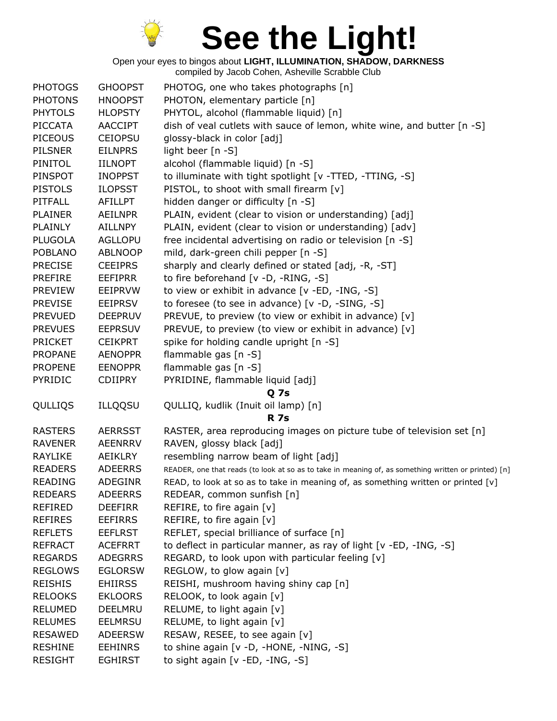

| <b>PHOTOGS</b> | <b>GHOOPST</b> | PHOTOG, one who takes photographs [n]                                                                |
|----------------|----------------|------------------------------------------------------------------------------------------------------|
| <b>PHOTONS</b> | <b>HNOOPST</b> | PHOTON, elementary particle [n]                                                                      |
| <b>PHYTOLS</b> | <b>HLOPSTY</b> | PHYTOL, alcohol (flammable liquid) [n]                                                               |
| <b>PICCATA</b> | <b>AACCIPT</b> | dish of veal cutlets with sauce of lemon, white wine, and butter [n -S]                              |
| <b>PICEOUS</b> | <b>CEIOPSU</b> | glossy-black in color [adj]                                                                          |
| <b>PILSNER</b> | <b>EILNPRS</b> | light beer [n -S]                                                                                    |
| PINITOL        | <b>IILNOPT</b> | alcohol (flammable liquid) [n -S]                                                                    |
| PINSPOT        | <b>INOPPST</b> | to illuminate with tight spotlight [v -TTED, -TTING, -S]                                             |
| <b>PISTOLS</b> | <b>ILOPSST</b> | PISTOL, to shoot with small firearm [v]                                                              |
| PITFALL        | <b>AFILLPT</b> | hidden danger or difficulty [n -S]                                                                   |
| <b>PLAINER</b> | <b>AEILNPR</b> | PLAIN, evident (clear to vision or understanding) [adj]                                              |
| PLAINLY        | <b>AILLNPY</b> | PLAIN, evident (clear to vision or understanding) [adv]                                              |
| <b>PLUGOLA</b> | <b>AGLLOPU</b> | free incidental advertising on radio or television [n -S]                                            |
| <b>POBLANO</b> | <b>ABLNOOP</b> | mild, dark-green chili pepper [n -S]                                                                 |
| <b>PRECISE</b> | <b>CEEIPRS</b> | sharply and clearly defined or stated [adj, -R, -ST]                                                 |
| <b>PREFIRE</b> | <b>EEFIPRR</b> | to fire beforehand [v -D, -RING, -S]                                                                 |
| <b>PREVIEW</b> | EEIPRVW        | to view or exhibit in advance [v -ED, -ING, -S]                                                      |
| <b>PREVISE</b> | <b>EEIPRSV</b> | to foresee (to see in advance) [v -D, -SING, -S]                                                     |
| <b>PREVUED</b> | <b>DEEPRUV</b> | PREVUE, to preview (to view or exhibit in advance) [v]                                               |
| <b>PREVUES</b> | <b>EEPRSUV</b> | PREVUE, to preview (to view or exhibit in advance) [v]                                               |
| <b>PRICKET</b> | <b>CEIKPRT</b> | spike for holding candle upright [n -S]                                                              |
| <b>PROPANE</b> | <b>AENOPPR</b> | flammable gas [n -S]                                                                                 |
| <b>PROPENE</b> | <b>EENOPPR</b> | flammable gas [n -S]                                                                                 |
| PYRIDIC        | <b>CDIIPRY</b> | PYRIDINE, flammable liquid [adj]                                                                     |
|                |                | Q <sub>7s</sub>                                                                                      |
| QULLIQS        | <b>ILLQQSU</b> | QULLIQ, kudlik (Inuit oil lamp) [n]<br><b>R</b> 7s                                                   |
| <b>RASTERS</b> | <b>AERRSST</b> | RASTER, area reproducing images on picture tube of television set [n]                                |
| <b>RAVENER</b> | <b>AEENRRV</b> | RAVEN, glossy black [adj]                                                                            |
| <b>RAYLIKE</b> | AEIKLRY        | resembling narrow beam of light [adj]                                                                |
| <b>READERS</b> | <b>ADEERRS</b> | READER, one that reads (to look at so as to take in meaning of, as something written or printed) [n] |
| <b>READING</b> | <b>ADEGINR</b> | READ, to look at so as to take in meaning of, as something written or printed [v]                    |
| <b>REDEARS</b> | <b>ADEERRS</b> | REDEAR, common sunfish [n]                                                                           |
| <b>REFIRED</b> | <b>DEEFIRR</b> | REFIRE, to fire again $[v]$                                                                          |
| <b>REFIRES</b> | <b>EEFIRRS</b> | REFIRE, to fire again [v]                                                                            |
| <b>REFLETS</b> | <b>EEFLRST</b> | REFLET, special brilliance of surface [n]                                                            |
| <b>REFRACT</b> | <b>ACEFRRT</b> | to deflect in particular manner, as ray of light [v -ED, -ING, -S]                                   |
| <b>REGARDS</b> | <b>ADEGRRS</b> | REGARD, to look upon with particular feeling [v]                                                     |
| <b>REGLOWS</b> | <b>EGLORSW</b> | REGLOW, to glow again [v]                                                                            |
| <b>REISHIS</b> | <b>EHIIRSS</b> | REISHI, mushroom having shiny cap [n]                                                                |
| <b>RELOOKS</b> | <b>EKLOORS</b> | RELOOK, to look again [v]                                                                            |
| <b>RELUMED</b> | DEELMRU        | RELUME, to light again [v]                                                                           |
| <b>RELUMES</b> | <b>EELMRSU</b> | RELUME, to light again [v]                                                                           |
| <b>RESAWED</b> | <b>ADEERSW</b> | RESAW, RESEE, to see again [v]                                                                       |
| <b>RESHINE</b> | <b>EEHINRS</b> | to shine again [v -D, -HONE, -NING, -S]                                                              |
| <b>RESIGHT</b> | <b>EGHIRST</b> | to sight again [v -ED, -ING, -S]                                                                     |
|                |                |                                                                                                      |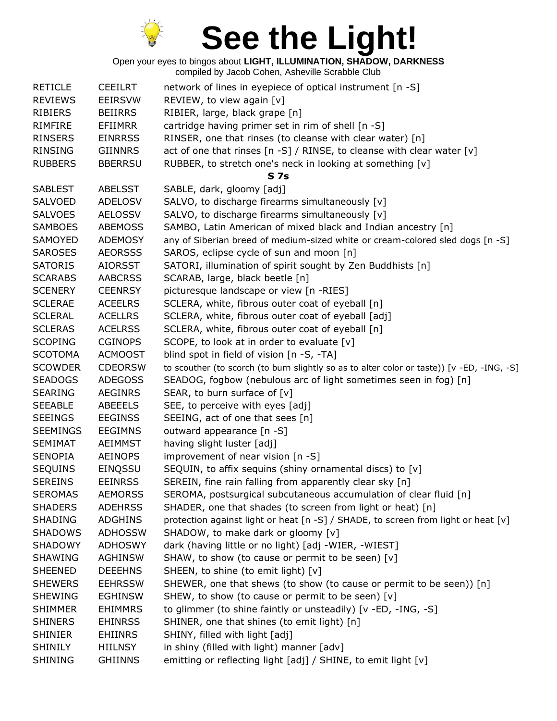

| <b>RETICLE</b><br><b>REVIEWS</b> | <b>CEEILRT</b><br><b>EEIRSVW</b> | network of lines in eyepiece of optical instrument [n -S]<br>REVIEW, to view again [v]     |
|----------------------------------|----------------------------------|--------------------------------------------------------------------------------------------|
| <b>RIBIERS</b>                   | <b>BEIIRRS</b>                   | RIBIER, large, black grape [n]                                                             |
| RIMFIRE                          | <b>EFIIMRR</b>                   | cartridge having primer set in rim of shell [n -S]                                         |
| <b>RINSERS</b>                   | <b>EINRRSS</b>                   | RINSER, one that rinses (to cleanse with clear water) [n]                                  |
| RINSING                          | GIINNRS                          | act of one that rinses $[n-S]$ / RINSE, to cleanse with clear water $[v]$                  |
| <b>RUBBERS</b>                   | <b>BBERRSU</b>                   | RUBBER, to stretch one's neck in looking at something [v]                                  |
|                                  |                                  | <b>S7s</b>                                                                                 |
| <b>SABLEST</b>                   | <b>ABELSST</b>                   | SABLE, dark, gloomy [adj]                                                                  |
| <b>SALVOED</b>                   | <b>ADELOSV</b>                   | SALVO, to discharge firearms simultaneously [v]                                            |
| <b>SALVOES</b>                   | <b>AELOSSV</b>                   | SALVO, to discharge firearms simultaneously [v]                                            |
| <b>SAMBOES</b>                   | <b>ABEMOSS</b>                   | SAMBO, Latin American of mixed black and Indian ancestry [n]                               |
| <b>SAMOYED</b>                   | <b>ADEMOSY</b>                   | any of Siberian breed of medium-sized white or cream-colored sled dogs [n -S]              |
| <b>SAROSES</b>                   | <b>AEORSSS</b>                   | SAROS, eclipse cycle of sun and moon [n]                                                   |
| <b>SATORIS</b>                   | <b>AIORSST</b>                   | SATORI, illumination of spirit sought by Zen Buddhists [n]                                 |
| <b>SCARABS</b>                   | <b>AABCRSS</b>                   | SCARAB, large, black beetle [n]                                                            |
|                                  |                                  |                                                                                            |
| <b>SCENERY</b>                   | <b>CEENRSY</b>                   | picturesque landscape or view [n -RIES]                                                    |
| <b>SCLERAE</b>                   | <b>ACEELRS</b>                   | SCLERA, white, fibrous outer coat of eyeball [n]                                           |
| <b>SCLERAL</b>                   | <b>ACELLRS</b>                   | SCLERA, white, fibrous outer coat of eyeball [adj]                                         |
| <b>SCLERAS</b>                   | <b>ACELRSS</b>                   | SCLERA, white, fibrous outer coat of eyeball [n]                                           |
| <b>SCOPING</b>                   | <b>CGINOPS</b>                   | SCOPE, to look at in order to evaluate [v]                                                 |
| <b>SCOTOMA</b>                   | <b>ACMOOST</b>                   | blind spot in field of vision [n -S, -TA]                                                  |
| <b>SCOWDER</b>                   | <b>CDEORSW</b>                   | to scouther (to scorch (to burn slightly so as to alter color or taste)) [v -ED, -ING, -S] |
| <b>SEADOGS</b>                   | <b>ADEGOSS</b>                   | SEADOG, fogbow (nebulous arc of light sometimes seen in fog) [n]                           |
| SEARING                          | <b>AEGINRS</b>                   | SEAR, to burn surface of [v]                                                               |
| <b>SEEABLE</b>                   | <b>ABEEELS</b>                   | SEE, to perceive with eyes [adj]                                                           |
| <b>SEEINGS</b>                   | <b>EEGINSS</b>                   | SEEING, act of one that sees [n]                                                           |
| <b>SEEMINGS</b>                  | <b>EEGIMNS</b>                   | outward appearance [n -S]                                                                  |
| <b>SEMIMAT</b>                   | <b>AEIMMST</b>                   | having slight luster [adj]                                                                 |
| <b>SENOPIA</b>                   | <b>AEINOPS</b>                   | improvement of near vision [n -S]                                                          |
| <b>SEQUINS</b>                   | <b>EINQSSU</b>                   | SEQUIN, to affix sequins (shiny ornamental discs) to [v]                                   |
| <b>SEREINS</b>                   | <b>EEINRSS</b>                   | SEREIN, fine rain falling from apparently clear sky [n]                                    |
| <b>SEROMAS</b>                   | <b>AEMORSS</b>                   | SEROMA, postsurgical subcutaneous accumulation of clear fluid [n]                          |
| <b>SHADERS</b>                   | <b>ADEHRSS</b>                   | SHADER, one that shades (to screen from light or heat) [n]                                 |
| <b>SHADING</b>                   | <b>ADGHINS</b>                   | protection against light or heat [n -S] / SHADE, to screen from light or heat [v]          |
| <b>SHADOWS</b>                   | <b>ADHOSSW</b>                   | SHADOW, to make dark or gloomy [v]                                                         |
| <b>SHADOWY</b>                   | <b>ADHOSWY</b>                   | dark (having little or no light) [adj -WIER, -WIEST]                                       |
| <b>SHAWING</b>                   | <b>AGHINSW</b>                   | SHAW, to show (to cause or permit to be seen) [v]                                          |
| <b>SHEENED</b>                   | <b>DEEEHNS</b>                   | SHEEN, to shine (to emit light) [v]                                                        |
| <b>SHEWERS</b>                   | <b>EEHRSSW</b>                   | SHEWER, one that shews (to show (to cause or permit to be seen)) [n]                       |
| <b>SHEWING</b>                   | <b>EGHINSW</b>                   | SHEW, to show (to cause or permit to be seen) [v]                                          |
| <b>SHIMMER</b>                   | <b>EHIMMRS</b>                   | to glimmer (to shine faintly or unsteadily) [v -ED, -ING, -S]                              |
| <b>SHINERS</b>                   | <b>EHINRSS</b>                   | SHINER, one that shines (to emit light) [n]                                                |
| <b>SHINIER</b>                   | <b>EHIINRS</b>                   | SHINY, filled with light [adj]                                                             |
| <b>SHINILY</b>                   | <b>HIILNSY</b>                   | in shiny (filled with light) manner [adv]                                                  |
| <b>SHINING</b>                   | <b>GHIINNS</b>                   | emitting or reflecting light [adj] / SHINE, to emit light [v]                              |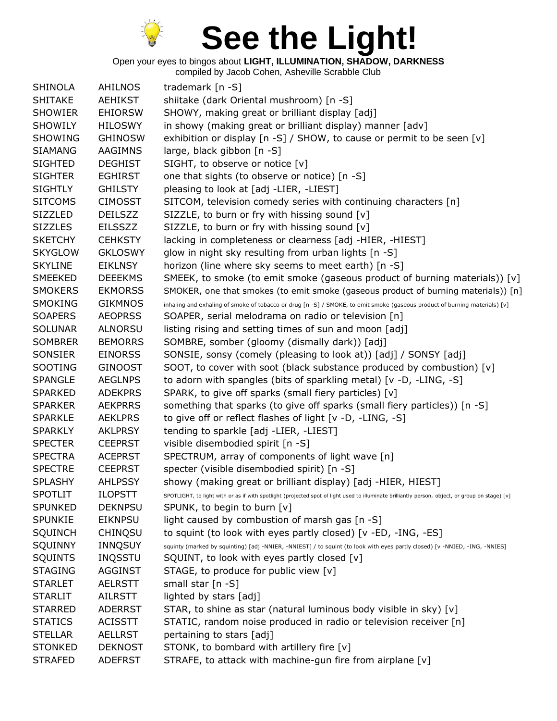

Open your eyes to bingos about **LIGHT, ILLUMINATION, SHADOW, DARKNESS**

| <b>SHINOLA</b> | <b>AHILNOS</b> | trademark [n -S]                                                                                                                                |
|----------------|----------------|-------------------------------------------------------------------------------------------------------------------------------------------------|
| <b>SHITAKE</b> | <b>AEHIKST</b> | shiitake (dark Oriental mushroom) [n -S]                                                                                                        |
| <b>SHOWIER</b> | <b>EHIORSW</b> | SHOWY, making great or brilliant display [adj]                                                                                                  |
| <b>SHOWILY</b> | <b>HILOSWY</b> | in showy (making great or brilliant display) manner [adv]                                                                                       |
| <b>SHOWING</b> | <b>GHINOSW</b> | exhibition or display [n -S] / SHOW, to cause or permit to be seen [v]                                                                          |
| <b>SIAMANG</b> | AAGIMNS        | large, black gibbon [n -S]                                                                                                                      |
| <b>SIGHTED</b> | <b>DEGHIST</b> | SIGHT, to observe or notice [v]                                                                                                                 |
| <b>SIGHTER</b> | <b>EGHIRST</b> | one that sights (to observe or notice) [n -S]                                                                                                   |
| <b>SIGHTLY</b> | <b>GHILSTY</b> | pleasing to look at [adj -LIER, -LIEST]                                                                                                         |
| <b>SITCOMS</b> | <b>CIMOSST</b> | SITCOM, television comedy series with continuing characters [n]                                                                                 |
| <b>SIZZLED</b> | <b>DEILSZZ</b> | SIZZLE, to burn or fry with hissing sound [v]                                                                                                   |
| <b>SIZZLES</b> | <b>EILSSZZ</b> | SIZZLE, to burn or fry with hissing sound [v]                                                                                                   |
| <b>SKETCHY</b> | <b>CEHKSTY</b> | lacking in completeness or clearness [adj -HIER, -HIEST]                                                                                        |
| <b>SKYGLOW</b> | <b>GKLOSWY</b> | glow in night sky resulting from urban lights [n -S]                                                                                            |
| <b>SKYLINE</b> | <b>EIKLNSY</b> | horizon (line where sky seems to meet earth) [n -S]                                                                                             |
| <b>SMEEKED</b> | <b>DEEEKMS</b> | SMEEK, to smoke (to emit smoke (gaseous product of burning materials)) $[v]$                                                                    |
| <b>SMOKERS</b> | <b>EKMORSS</b> | SMOKER, one that smokes (to emit smoke (gaseous product of burning materials)) [n]                                                              |
| <b>SMOKING</b> | <b>GIKMNOS</b> | inhaling and exhaling of smoke of tobacco or drug [n -S] / SMOKE, to emit smoke (gaseous product of burning materials) [v]                      |
| <b>SOAPERS</b> | <b>AEOPRSS</b> | SOAPER, serial melodrama on radio or television [n]                                                                                             |
| <b>SOLUNAR</b> | <b>ALNORSU</b> | listing rising and setting times of sun and moon [adj]                                                                                          |
| <b>SOMBRER</b> | <b>BEMORRS</b> | SOMBRE, somber (gloomy (dismally dark)) [adj]                                                                                                   |
| SONSIER        | <b>EINORSS</b> | SONSIE, sonsy (comely (pleasing to look at)) [adj] / SONSY [adj]                                                                                |
| SOOTING        | <b>GINOOST</b> | SOOT, to cover with soot (black substance produced by combustion) [v]                                                                           |
| <b>SPANGLE</b> | <b>AEGLNPS</b> | to adorn with spangles (bits of sparkling metal) [v -D, -LING, -S]                                                                              |
| <b>SPARKED</b> | <b>ADEKPRS</b> | SPARK, to give off sparks (small fiery particles) [v]                                                                                           |
| <b>SPARKER</b> | <b>AEKPRRS</b> | something that sparks (to give off sparks (small fiery particles)) [n -S]                                                                       |
| <b>SPARKLE</b> | <b>AEKLPRS</b> | to give off or reflect flashes of light [v -D, -LING, -S]                                                                                       |
| <b>SPARKLY</b> | <b>AKLPRSY</b> | tending to sparkle [adj -LIER, -LIEST]                                                                                                          |
| <b>SPECTER</b> | <b>CEEPRST</b> | visible disembodied spirit [n -S]                                                                                                               |
| <b>SPECTRA</b> | <b>ACEPRST</b> | SPECTRUM, array of components of light wave [n]                                                                                                 |
| <b>SPECTRE</b> | <b>CEEPRST</b> | specter (visible disembodied spirit) [n -S]                                                                                                     |
| <b>SPLASHY</b> | <b>AHLPSSY</b> | showy (making great or brilliant display) [adj -HIER, HIEST]                                                                                    |
| <b>SPOTLIT</b> | <b>ILOPSTT</b> | SPOTLIGHT, to light with or as if with spotlight (projected spot of light used to illuminate brilliantly person, object, or group on stage) [v] |
| <b>SPUNKED</b> | <b>DEKNPSU</b> | SPUNK, to begin to burn [v]                                                                                                                     |
| <b>SPUNKIE</b> | <b>EIKNPSU</b> | light caused by combustion of marsh gas [n -S]                                                                                                  |
| <b>SQUINCH</b> | <b>CHINQSU</b> | to squint (to look with eyes partly closed) [v -ED, -ING, -ES]                                                                                  |
| SQUINNY        | <b>INNQSUY</b> | squinty (marked by squinting) [adj -NNIER, -NNIEST] / to squint (to look with eyes partly closed) [v -NNIED, -ING, -NNIES]                      |
| <b>SQUINTS</b> | <b>INQSSTU</b> | SQUINT, to look with eyes partly closed [v]                                                                                                     |
| <b>STAGING</b> | <b>AGGINST</b> | STAGE, to produce for public view [v]                                                                                                           |
| <b>STARLET</b> | <b>AELRSTT</b> | small star [n -S]                                                                                                                               |
| <b>STARLIT</b> | <b>AILRSTT</b> | lighted by stars [adj]                                                                                                                          |
| <b>STARRED</b> |                |                                                                                                                                                 |
|                | <b>ADERRST</b> | STAR, to shine as star (natural luminous body visible in sky) [v]                                                                               |
| <b>STATICS</b> | <b>ACISSTT</b> | STATIC, random noise produced in radio or television receiver [n]                                                                               |
| <b>STELLAR</b> | <b>AELLRST</b> | pertaining to stars [adj]                                                                                                                       |
| <b>STONKED</b> | <b>DEKNOST</b> | STONK, to bombard with artillery fire [v]                                                                                                       |
| <b>STRAFED</b> | <b>ADEFRST</b> | STRAFE, to attack with machine-gun fire from airplane [v]                                                                                       |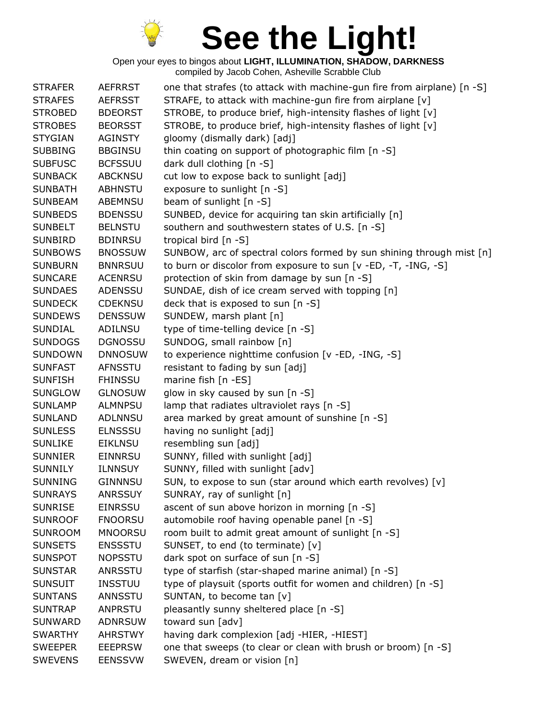

| <b>STRAFER</b> | <b>AEFRRST</b> | one that strafes (to attack with machine-gun fire from airplane) [n -S] |
|----------------|----------------|-------------------------------------------------------------------------|
| <b>STRAFES</b> | <b>AEFRSST</b> | STRAFE, to attack with machine-gun fire from airplane [v]               |
| <b>STROBED</b> | <b>BDEORST</b> | STROBE, to produce brief, high-intensity flashes of light [v]           |
| <b>STROBES</b> | <b>BEORSST</b> | STROBE, to produce brief, high-intensity flashes of light [v]           |
| <b>STYGIAN</b> | <b>AGINSTY</b> | gloomy (dismally dark) [adj]                                            |
| <b>SUBBING</b> | <b>BBGINSU</b> | thin coating on support of photographic film [n -S]                     |
| <b>SUBFUSC</b> | <b>BCFSSUU</b> | dark dull clothing [n -S]                                               |
| <b>SUNBACK</b> | <b>ABCKNSU</b> | cut low to expose back to sunlight [adj]                                |
| <b>SUNBATH</b> | <b>ABHNSTU</b> | exposure to sunlight [n -S]                                             |
| <b>SUNBEAM</b> | <b>ABEMNSU</b> | beam of sunlight [n -S]                                                 |
| <b>SUNBEDS</b> | <b>BDENSSU</b> | SUNBED, device for acquiring tan skin artificially [n]                  |
| <b>SUNBELT</b> | <b>BELNSTU</b> | southern and southwestern states of U.S. [n -S]                         |
| <b>SUNBIRD</b> | <b>BDINRSU</b> | tropical bird $[n - S]$                                                 |
| <b>SUNBOWS</b> | <b>BNOSSUW</b> | SUNBOW, arc of spectral colors formed by sun shining through mist [n]   |
| <b>SUNBURN</b> | <b>BNNRSUU</b> | to burn or discolor from exposure to sun [v -ED, -T, -ING, -S]          |
| <b>SUNCARE</b> | ACENRSU        | protection of skin from damage by sun [n -S]                            |
| <b>SUNDAES</b> | ADENSSU        | SUNDAE, dish of ice cream served with topping [n]                       |
| <b>SUNDECK</b> | <b>CDEKNSU</b> | deck that is exposed to sun [n -S]                                      |
| <b>SUNDEWS</b> | <b>DENSSUW</b> | SUNDEW, marsh plant [n]                                                 |
| <b>SUNDIAL</b> | ADILNSU        | type of time-telling device [n -S]                                      |
| <b>SUNDOGS</b> | <b>DGNOSSU</b> | SUNDOG, small rainbow [n]                                               |
| <b>SUNDOWN</b> | <b>DNNOSUW</b> | to experience nighttime confusion [v -ED, -ING, -S]                     |
| <b>SUNFAST</b> | <b>AFNSSTU</b> | resistant to fading by sun [adj]                                        |
| <b>SUNFISH</b> | <b>FHINSSU</b> | marine fish [n -ES]                                                     |
| <b>SUNGLOW</b> | <b>GLNOSUW</b> | glow in sky caused by sun [n -S]                                        |
| <b>SUNLAMP</b> | <b>ALMNPSU</b> | lamp that radiates ultraviolet rays [n -S]                              |
| <b>SUNLAND</b> | ADLNNSU        | area marked by great amount of sunshine [n -S]                          |
| <b>SUNLESS</b> | <b>ELNSSSU</b> | having no sunlight [adj]                                                |
| <b>SUNLIKE</b> | <b>EIKLNSU</b> | resembling sun [adj]                                                    |
| <b>SUNNIER</b> | <b>EINNRSU</b> | SUNNY, filled with sunlight [adj]                                       |
| <b>SUNNILY</b> | <b>ILNNSUY</b> | SUNNY, filled with sunlight [adv]                                       |
| <b>SUNNING</b> | GINNNSU        | SUN, to expose to sun (star around which earth revolves) [v]            |
| <b>SUNRAYS</b> | <b>ANRSSUY</b> | SUNRAY, ray of sunlight [n]                                             |
| <b>SUNRISE</b> | <b>EINRSSU</b> | ascent of sun above horizon in morning [n -S]                           |
| <b>SUNROOF</b> | <b>FNOORSU</b> | automobile roof having openable panel [n -S]                            |
| <b>SUNROOM</b> | <b>MNOORSU</b> | room built to admit great amount of sunlight [n -S]                     |
| <b>SUNSETS</b> | <b>ENSSSTU</b> | SUNSET, to end (to terminate) [v]                                       |
| <b>SUNSPOT</b> | <b>NOPSSTU</b> | dark spot on surface of sun [n -S]                                      |
| <b>SUNSTAR</b> | ANRSSTU        | type of starfish (star-shaped marine animal) [n -S]                     |
| <b>SUNSUIT</b> | <b>INSSTUU</b> | type of playsuit (sports outfit for women and children) [n -S]          |
| <b>SUNTANS</b> | ANNSSTU        | SUNTAN, to become tan [v]                                               |
| <b>SUNTRAP</b> | <b>ANPRSTU</b> | pleasantly sunny sheltered place [n -S]                                 |
| <b>SUNWARD</b> | <b>ADNRSUW</b> | toward sun [adv]                                                        |
| <b>SWARTHY</b> | <b>AHRSTWY</b> | having dark complexion [adj -HIER, -HIEST]                              |
| <b>SWEEPER</b> | <b>EEEPRSW</b> | one that sweeps (to clear or clean with brush or broom) [n -S]          |
| <b>SWEVENS</b> | <b>EENSSVW</b> | SWEVEN, dream or vision [n]                                             |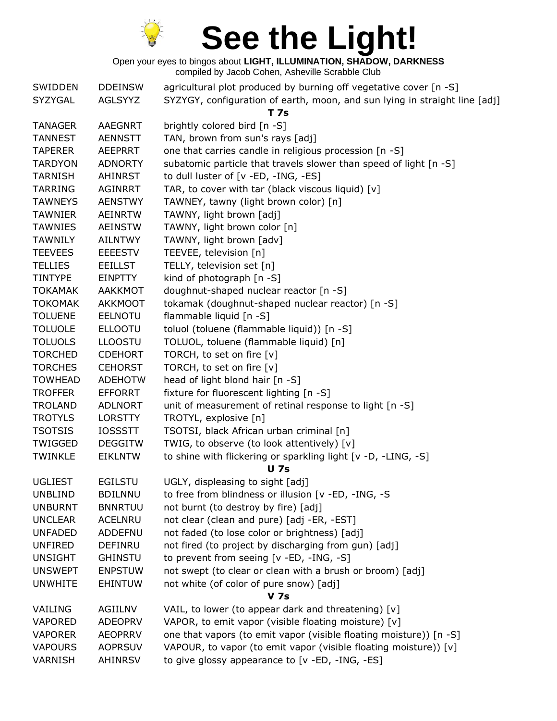

| SWIDDEN        | <b>DDEINSW</b> | agricultural plot produced by burning off vegetative cover [n -S]          |
|----------------|----------------|----------------------------------------------------------------------------|
| SYZYGAL        | AGLSYYZ        | SYZYGY, configuration of earth, moon, and sun lying in straight line [adj] |
|                |                | <b>T</b> 7s                                                                |
| <b>TANAGER</b> | <b>AAEGNRT</b> | brightly colored bird [n -S]                                               |
| <b>TANNEST</b> | <b>AENNSTT</b> | TAN, brown from sun's rays [adj]                                           |
| <b>TAPERER</b> | <b>AEEPRRT</b> | one that carries candle in religious procession [n -S]                     |
| <b>TARDYON</b> | <b>ADNORTY</b> | subatomic particle that travels slower than speed of light [n -S]          |
| <b>TARNISH</b> | <b>AHINRST</b> | to dull luster of [v -ED, -ING, -ES]                                       |
| <b>TARRING</b> | <b>AGINRRT</b> | TAR, to cover with tar (black viscous liquid) [v]                          |
| <b>TAWNEYS</b> | <b>AENSTWY</b> | TAWNEY, tawny (light brown color) [n]                                      |
| <b>TAWNIER</b> | <b>AEINRTW</b> | TAWNY, light brown [adj]                                                   |
| <b>TAWNIES</b> | <b>AEINSTW</b> | TAWNY, light brown color [n]                                               |
| <b>TAWNILY</b> | <b>AILNTWY</b> | TAWNY, light brown [adv]                                                   |
| <b>TEEVEES</b> | <b>EEEESTV</b> | TEEVEE, television [n]                                                     |
| <b>TELLIES</b> | <b>EEILLST</b> | TELLY, television set [n]                                                  |
| <b>TINTYPE</b> | <b>EINPTTY</b> | kind of photograph [n -S]                                                  |
| <b>TOKAMAK</b> | <b>AAKKMOT</b> | doughnut-shaped nuclear reactor [n -S]                                     |
| <b>TOKOMAK</b> | <b>AKKMOOT</b> | tokamak (doughnut-shaped nuclear reactor) [n -S]                           |
| <b>TOLUENE</b> | <b>EELNOTU</b> | flammable liquid [n -S]                                                    |
| <b>TOLUOLE</b> | <b>ELLOOTU</b> | toluol (toluene (flammable liquid)) [n -S]                                 |
| <b>TOLUOLS</b> | <b>LLOOSTU</b> | TOLUOL, toluene (flammable liquid) [n]                                     |
| <b>TORCHED</b> | <b>CDEHORT</b> | TORCH, to set on fire [v]                                                  |
| <b>TORCHES</b> | <b>CEHORST</b> | TORCH, to set on fire [v]                                                  |
| <b>TOWHEAD</b> | <b>ADEHOTW</b> | head of light blond hair [n -S]                                            |
| <b>TROFFER</b> | <b>EFFORRT</b> | fixture for fluorescent lighting [n -S]                                    |
| <b>TROLAND</b> | <b>ADLNORT</b> | unit of measurement of retinal response to light [n -S]                    |
| <b>TROTYLS</b> | <b>LORSTTY</b> | TROTYL, explosive [n]                                                      |
| <b>TSOTSIS</b> | <b>IOSSSTT</b> | TSOTSI, black African urban criminal [n]                                   |
| TWIGGED        | <b>DEGGITW</b> | TWIG, to observe (to look attentively) [v]                                 |
| <b>TWINKLE</b> | <b>EIKLNTW</b> | to shine with flickering or sparkling light [v -D, -LING, -S]              |
|                |                | <b>U</b> 7s                                                                |
| <b>UGLIEST</b> | <b>EGILSTU</b> | UGLY, displeasing to sight [adj]                                           |
| <b>UNBLIND</b> | <b>BDILNNU</b> | to free from blindness or illusion [v -ED, -ING, -S                        |
| <b>UNBURNT</b> | <b>BNNRTUU</b> | not burnt (to destroy by fire) [adj]                                       |
| <b>UNCLEAR</b> | <b>ACELNRU</b> | not clear (clean and pure) [adj -ER, -EST]                                 |
| <b>UNFADED</b> | ADDEFNU        | not faded (to lose color or brightness) [adj]                              |
| <b>UNFIRED</b> | <b>DEFINRU</b> | not fired (to project by discharging from gun) [adj]                       |
| <b>UNSIGHT</b> | <b>GHINSTU</b> | to prevent from seeing [v -ED, -ING, -S]                                   |
| <b>UNSWEPT</b> | <b>ENPSTUW</b> | not swept (to clear or clean with a brush or broom) [adj]                  |
| <b>UNWHITE</b> | <b>EHINTUW</b> | not white (of color of pure snow) [adj]                                    |
|                |                | <b>V</b> 7s                                                                |
| VAILING        | AGIILNV        | VAIL, to lower (to appear dark and threatening) [v]                        |
| <b>VAPORED</b> | <b>ADEOPRV</b> | VAPOR, to emit vapor (visible floating moisture) [v]                       |
| <b>VAPORER</b> | <b>AEOPRRV</b> | one that vapors (to emit vapor (visible floating moisture)) [n -S]         |
| <b>VAPOURS</b> | <b>AOPRSUV</b> | VAPOUR, to vapor (to emit vapor (visible floating moisture)) [v]           |
| VARNISH        | <b>AHINRSV</b> | to give glossy appearance to [v -ED, -ING, -ES]                            |